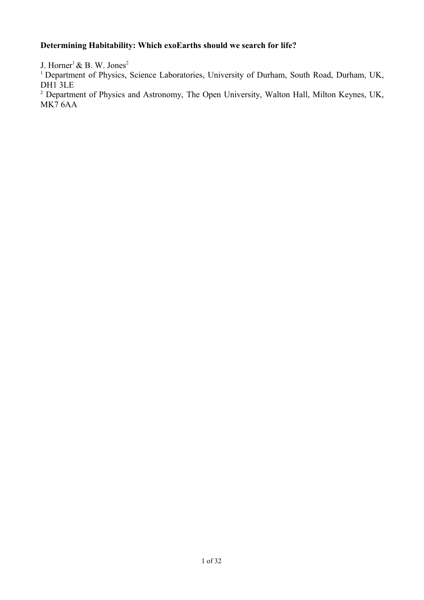# **Determining Habitability: Which exoEarths should we search for life?**

J. Horner<sup>1</sup> & B. W. Jones<sup>2</sup>

<sup>1</sup> Department of Physics, Science Laboratories, University of Durham, South Road, Durham, UK, DH1 3LE

<sup>2</sup> Department of Physics and Astronomy, The Open University, Walton Hall, Milton Keynes, UK, MK7 6AA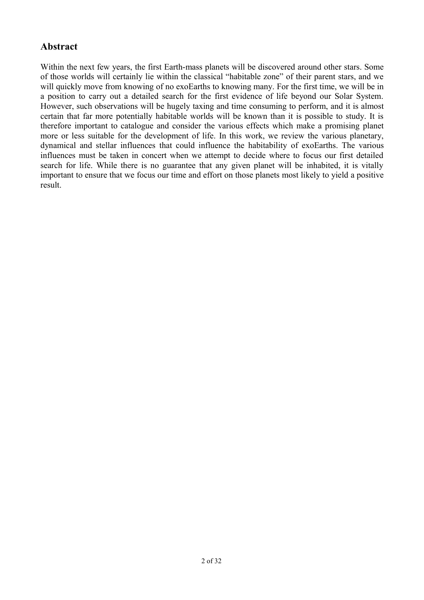# **Abstract**

Within the next few years, the first Earth-mass planets will be discovered around other stars. Some of those worlds will certainly lie within the classical "habitable zone" of their parent stars, and we will quickly move from knowing of no exoEarths to knowing many. For the first time, we will be in a position to carry out a detailed search for the first evidence of life beyond our Solar System. However, such observations will be hugely taxing and time consuming to perform, and it is almost certain that far more potentially habitable worlds will be known than it is possible to study. It is therefore important to catalogue and consider the various effects which make a promising planet more or less suitable for the development of life. In this work, we review the various planetary, dynamical and stellar influences that could influence the habitability of exoEarths. The various influences must be taken in concert when we attempt to decide where to focus our first detailed search for life. While there is no guarantee that any given planet will be inhabited, it is vitally important to ensure that we focus our time and effort on those planets most likely to yield a positive result.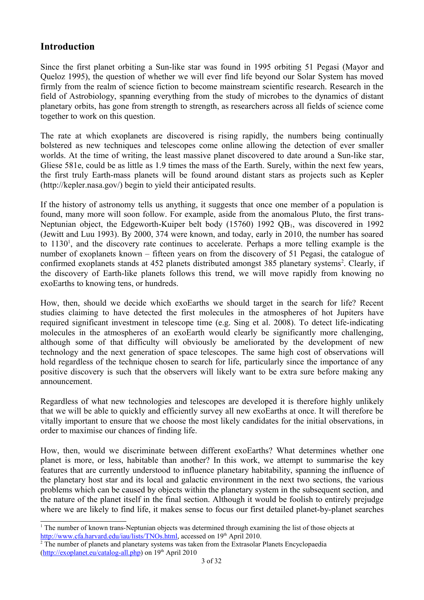# **Introduction**

Since the first planet orbiting a Sun-like star was found in 1995 orbiting 51 Pegasi (Mayor and Queloz 1995), the question of whether we will ever find life beyond our Solar System has moved firmly from the realm of science fiction to become mainstream scientific research. Research in the field of Astrobiology, spanning everything from the study of microbes to the dynamics of distant planetary orbits, has gone from strength to strength, as researchers across all fields of science come together to work on this question.

The rate at which exoplanets are discovered is rising rapidly, the numbers being continually bolstered as new techniques and telescopes come online allowing the detection of ever smaller worlds. At the time of writing, the least massive planet discovered to date around a Sun-like star, Gliese 581e, could be as little as 1.9 times the mass of the Earth. Surely, within the next few years, the first truly Earth-mass planets will be found around distant stars as projects such as Kepler (http://kepler.nasa.gov/) begin to yield their anticipated results.

If the history of astronomy tells us anything, it suggests that once one member of a population is found, many more will soon follow. For example, aside from the anomalous Pluto, the first trans-Neptunian object, the Edgeworth-Kuiper belt body (15760) 1992 QB<sub>1</sub>, was discovered in 1992 (Jewitt and Luu 1993). By 2000, 374 were known, and today, early in 2010, the number has soared to  $1130<sup>1</sup>$  $1130<sup>1</sup>$ , and the discovery rate continues to accelerate. Perhaps a more telling example is the number of exoplanets known – fifteen years on from the discovery of 51 Pegasi, the catalogue of confirmed exoplanets stands at 45[2](#page-2-1) planets distributed amongst 385 planetary systems<sup>2</sup>. Clearly, if the discovery of Earth-like planets follows this trend, we will move rapidly from knowing no exoEarths to knowing tens, or hundreds.

How, then, should we decide which exoEarths we should target in the search for life? Recent studies claiming to have detected the first molecules in the atmospheres of hot Jupiters have required significant investment in telescope time (e.g. Sing et al. 2008). To detect life-indicating molecules in the atmospheres of an exoEarth would clearly be significantly more challenging, although some of that difficulty will obviously be ameliorated by the development of new technology and the next generation of space telescopes. The same high cost of observations will hold regardless of the technique chosen to search for life, particularly since the importance of any positive discovery is such that the observers will likely want to be extra sure before making any announcement.

Regardless of what new technologies and telescopes are developed it is therefore highly unlikely that we will be able to quickly and efficiently survey all new exoEarths at once. It will therefore be vitally important to ensure that we choose the most likely candidates for the initial observations, in order to maximise our chances of finding life.

How, then, would we discriminate between different exoEarths? What determines whether one planet is more, or less, habitable than another? In this work, we attempt to summarise the key features that are currently understood to influence planetary habitability, spanning the influence of the planetary host star and its local and galactic environment in the next two sections, the various problems which can be caused by objects within the planetary system in the subsequent section, and the nature of the planet itself in the final section. Although it would be foolish to entirely prejudge where we are likely to find life, it makes sense to focus our first detailed planet-by-planet searches

<span id="page-2-0"></span><sup>1</sup> The number of known trans-Neptunian objects was determined through examining the list of those objects at [http://www.cfa.harvard.edu/iau/lists/TNOs.html,](http://www.cfa.harvard.edu/iau/lists/TNOs.html) accessed on 19<sup>th</sup> April 2010.

<span id="page-2-1"></span><sup>&</sup>lt;sup>2</sup> The number of planets and planetary systems was taken from the Extrasolar Planets Encyclopaedia  $(\frac{http://exoplanet.eu/catalog-all.php}{http://exoplanet.eu/catalog-all.php})$  on 19<sup>th</sup> April 2010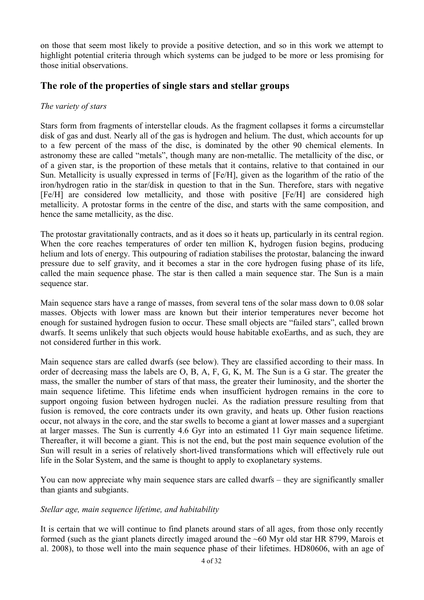on those that seem most likely to provide a positive detection, and so in this work we attempt to highlight potential criteria through which systems can be judged to be more or less promising for those initial observations.

# **The role of the properties of single stars and stellar groups**

# *The variety of stars*

Stars form from fragments of interstellar clouds. As the fragment collapses it forms a circumstellar disk of gas and dust. Nearly all of the gas is hydrogen and helium. The dust, which accounts for up to a few percent of the mass of the disc, is dominated by the other 90 chemical elements. In astronomy these are called "metals", though many are non-metallic. The metallicity of the disc, or of a given star, is the proportion of these metals that it contains, relative to that contained in our Sun. Metallicity is usually expressed in terms of [Fe/H], given as the logarithm of the ratio of the iron/hydrogen ratio in the star/disk in question to that in the Sun. Therefore, stars with negative [Fe/H] are considered low metallicity, and those with positive [Fe/H] are considered high metallicity. A protostar forms in the centre of the disc, and starts with the same composition, and hence the same metallicity, as the disc.

The protostar gravitationally contracts, and as it does so it heats up, particularly in its central region. When the core reaches temperatures of order ten million K, hydrogen fusion begins, producing helium and lots of energy. This outpouring of radiation stabilises the protostar, balancing the inward pressure due to self gravity, and it becomes a star in the core hydrogen fusing phase of its life, called the main sequence phase. The star is then called a main sequence star. The Sun is a main sequence star.

Main sequence stars have a range of masses, from several tens of the solar mass down to 0.08 solar masses. Objects with lower mass are known but their interior temperatures never become hot enough for sustained hydrogen fusion to occur. These small objects are "failed stars", called brown dwarfs. It seems unlikely that such objects would house habitable exoEarths, and as such, they are not considered further in this work.

Main sequence stars are called dwarfs (see below). They are classified according to their mass. In order of decreasing mass the labels are O, B, A, F, G, K, M. The Sun is a G star. The greater the mass, the smaller the number of stars of that mass, the greater their luminosity, and the shorter the main sequence lifetime. This lifetime ends when insufficient hydrogen remains in the core to support ongoing fusion between hydrogen nuclei. As the radiation pressure resulting from that fusion is removed, the core contracts under its own gravity, and heats up. Other fusion reactions occur, not always in the core, and the star swells to become a giant at lower masses and a supergiant at larger masses. The Sun is currently 4.6 Gyr into an estimated 11 Gyr main sequence lifetime. Thereafter, it will become a giant. This is not the end, but the post main sequence evolution of the Sun will result in a series of relatively short-lived transformations which will effectively rule out life in the Solar System, and the same is thought to apply to exoplanetary systems.

You can now appreciate why main sequence stars are called dwarfs – they are significantly smaller than giants and subgiants.

# *Stellar age, main sequence lifetime, and habitability*

It is certain that we will continue to find planets around stars of all ages, from those only recently formed (such as the giant planets directly imaged around the ~60 Myr old star HR 8799, Marois et al. 2008), to those well into the main sequence phase of their lifetimes. HD80606, with an age of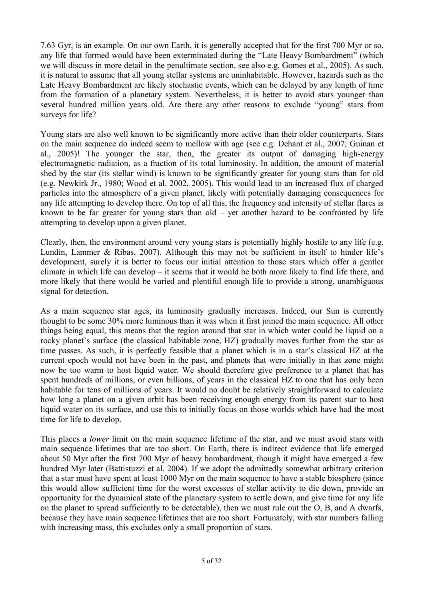7.63 Gyr, is an example. On our own Earth, it is generally accepted that for the first 700 Myr or so, any life that formed would have been exterminated during the "Late Heavy Bombardment" (which we will discuss in more detail in the penultimate section, see also e.g. Gomes et al., 2005). As such, it is natural to assume that all young stellar systems are uninhabitable. However, hazards such as the Late Heavy Bombardment are likely stochastic events, which can be delayed by any length of time from the formation of a planetary system. Nevertheless, it is better to avoid stars younger than several hundred million years old. Are there any other reasons to exclude "young" stars from surveys for life?

Young stars are also well known to be significantly more active than their older counterparts. Stars on the main sequence do indeed seem to mellow with age (see e.g. Dehant et al., 2007; Guinan et al., 2005)! The younger the star, then, the greater its output of damaging high-energy electromagnetic radiation, as a fraction of its total luminosity. In addition, the amount of material shed by the star (its stellar wind) is known to be significantly greater for young stars than for old (e.g. Newkirk Jr., 1980; Wood et al. 2002, 2005). This would lead to an increased flux of charged particles into the atmosphere of a given planet, likely with potentially damaging consequences for any life attempting to develop there. On top of all this, the frequency and intensity of stellar flares is known to be far greater for young stars than  $old - yet$  another hazard to be confronted by life attempting to develop upon a given planet.

Clearly, then, the environment around very young stars is potentially highly hostile to any life (e.g. Lundin, Lammer & Ribas, 2007). Although this may not be sufficient in itself to hinder life's development, surely it is better to focus our initial attention to those stars which offer a gentler climate in which life can develop – it seems that it would be both more likely to find life there, and more likely that there would be varied and plentiful enough life to provide a strong, unambiguous signal for detection.

As a main sequence star ages, its luminosity gradually increases. Indeed, our Sun is currently thought to be some 30% more luminous than it was when it first joined the main sequence. All other things being equal, this means that the region around that star in which water could be liquid on a rocky planet's surface (the classical habitable zone, HZ) gradually moves further from the star as time passes. As such, it is perfectly feasible that a planet which is in a star's classical HZ at the current epoch would not have been in the past, and planets that were initially in that zone might now be too warm to host liquid water. We should therefore give preference to a planet that has spent hundreds of millions, or even billions, of years in the classical HZ to one that has only been habitable for tens of millions of years. It would no doubt be relatively straightforward to calculate how long a planet on a given orbit has been receiving enough energy from its parent star to host liquid water on its surface, and use this to initially focus on those worlds which have had the most time for life to develop.

This places a *lower* limit on the main sequence lifetime of the star, and we must avoid stars with main sequence lifetimes that are too short. On Earth, there is indirect evidence that life emerged about 50 Myr after the first 700 Myr of heavy bombardment, though it might have emerged a few hundred Myr later (Battistuzzi et al. 2004). If we adopt the admittedly somewhat arbitrary criterion that a star must have spent at least 1000 Myr on the main sequence to have a stable biosphere (since this would allow sufficient time for the worst excesses of stellar activity to die down, provide an opportunity for the dynamical state of the planetary system to settle down, and give time for any life on the planet to spread sufficiently to be detectable), then we must rule out the O, B, and A dwarfs, because they have main sequence lifetimes that are too short. Fortunately, with star numbers falling with increasing mass, this excludes only a small proportion of stars.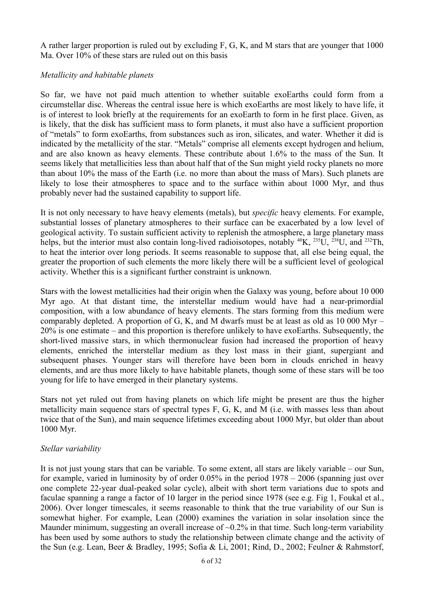A rather larger proportion is ruled out by excluding F, G, K, and M stars that are younger that 1000 Ma. Over 10% of these stars are ruled out on this basis

# *Metallicity and habitable planets*

So far, we have not paid much attention to whether suitable exoEarths could form from a circumstellar disc. Whereas the central issue here is which exoEarths are most likely to have life, it is of interest to look briefly at the requirements for an exoEarth to form in he first place. Given, as is likely, that the disk has sufficient mass to form planets, it must also have a sufficient proportion of "metals" to form exoEarths, from substances such as iron, silicates, and water. Whether it did is indicated by the metallicity of the star. "Metals" comprise all elements except hydrogen and helium, and are also known as heavy elements. These contribute about 1.6% to the mass of the Sun. It seems likely that metallicities less than about half that of the Sun might yield rocky planets no more than about 10% the mass of the Earth (i.e. no more than about the mass of Mars). Such planets are likely to lose their atmospheres to space and to the surface within about 1000 Myr, and thus probably never had the sustained capability to support life.

It is not only necessary to have heavy elements (metals), but *specific* heavy elements. For example, substantial losses of planetary atmospheres to their surface can be exacerbated by a low level of geological activity. To sustain sufficient activity to replenish the atmosphere, a large planetary mass helps, but the interior must also contain long-lived radioisotopes, notably  ${}^{40}K$ ,  ${}^{235}U$ ,  ${}^{238}U$ , and  ${}^{232}Th$ , to heat the interior over long periods. It seems reasonable to suppose that, all else being equal, the greater the proportion of such elements the more likely there will be a sufficient level of geological activity. Whether this is a significant further constraint is unknown.

Stars with the lowest metallicities had their origin when the Galaxy was young, before about 10 000 Myr ago. At that distant time, the interstellar medium would have had a near-primordial composition, with a low abundance of heavy elements. The stars forming from this medium were comparably depleted. A proportion of G, K, and M dwarfs must be at least as old as 10 000 Myr – 20% is one estimate – and this proportion is therefore unlikely to have exoEarths. Subsequently, the short-lived massive stars, in which thermonuclear fusion had increased the proportion of heavy elements, enriched the interstellar medium as they lost mass in their giant, supergiant and subsequent phases. Younger stars will therefore have been born in clouds enriched in heavy elements, and are thus more likely to have habitable planets, though some of these stars will be too young for life to have emerged in their planetary systems.

Stars not yet ruled out from having planets on which life might be present are thus the higher metallicity main sequence stars of spectral types F, G, K, and M (i.e. with masses less than about twice that of the Sun), and main sequence lifetimes exceeding about 1000 Myr, but older than about 1000 Myr.

# *Stellar variability*

It is not just young stars that can be variable. To some extent, all stars are likely variable – our Sun, for example, varied in luminosity by of order 0.05% in the period 1978 – 2006 (spanning just over one complete 22-year dual-peaked solar cycle), albeit with short term variations due to spots and faculae spanning a range a factor of 10 larger in the period since 1978 (see e.g. Fig 1, Foukal et al., 2006). Over longer timescales, it seems reasonable to think that the true variability of our Sun is somewhat higher. For example, Lean (2000) examines the variation in solar insolation since the Maunder minimum, suggesting an overall increase of  $\sim 0.2\%$  in that time. Such long-term variability has been used by some authors to study the relationship between climate change and the activity of the Sun (e.g. Lean, Beer & Bradley, 1995; Sofia & Li, 2001; Rind, D., 2002; Feulner & Rahmstorf,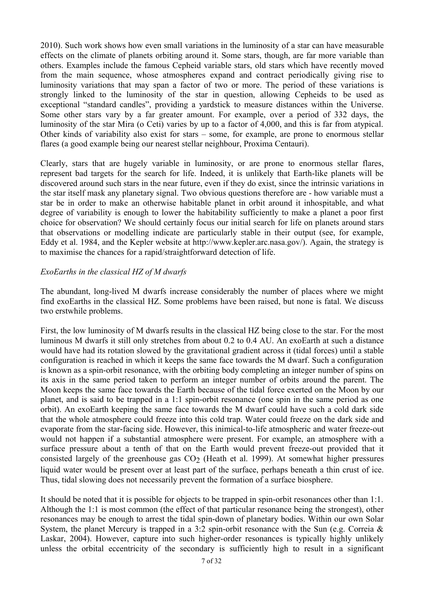2010). Such work shows how even small variations in the luminosity of a star can have measurable effects on the climate of planets orbiting around it. Some stars, though, are far more variable than others. Examples include the famous Cepheid variable stars, old stars which have recently moved from the main sequence, whose atmospheres expand and contract periodically giving rise to luminosity variations that may span a factor of two or more. The period of these variations is strongly linked to the luminosity of the star in question, allowing Cepheids to be used as exceptional "standard candles", providing a yardstick to measure distances within the Universe. Some other stars vary by a far greater amount. For example, over a period of 332 days, the luminosity of the star Mira (ο Ceti) varies by up to a factor of 4,000, and this is far from atypical. Other kinds of variability also exist for stars – some, for example, are prone to enormous stellar flares (a good example being our nearest stellar neighbour, Proxima Centauri).

Clearly, stars that are hugely variable in luminosity, or are prone to enormous stellar flares, represent bad targets for the search for life. Indeed, it is unlikely that Earth-like planets will be discovered around such stars in the near future, even if they do exist, since the intrinsic variations in the star itself mask any planetary signal. Two obvious questions therefore are - how variable must a star be in order to make an otherwise habitable planet in orbit around it inhospitable, and what degree of variability is enough to lower the habitability sufficiently to make a planet a poor first choice for observation? We should certainly focus our initial search for life on planets around stars that observations or modelling indicate are particularly stable in their output (see, for example, Eddy et al. 1984, and the Kepler website at http://www.kepler.arc.nasa.gov/). Again, the strategy is to maximise the chances for a rapid/straightforward detection of life.

# *ExoEarths in the classical HZ of M dwarfs*

The abundant, long-lived M dwarfs increase considerably the number of places where we might find exoEarths in the classical HZ. Some problems have been raised, but none is fatal. We discuss two erstwhile problems.

First, the low luminosity of M dwarfs results in the classical HZ being close to the star. For the most luminous M dwarfs it still only stretches from about 0.2 to 0.4 AU. An exoEarth at such a distance would have had its rotation slowed by the gravitational gradient across it (tidal forces) until a stable configuration is reached in which it keeps the same face towards the M dwarf. Such a configuration is known as a spin-orbit resonance, with the orbiting body completing an integer number of spins on its axis in the same period taken to perform an integer number of orbits around the parent. The Moon keeps the same face towards the Earth because of the tidal force exerted on the Moon by our planet, and is said to be trapped in a 1:1 spin-orbit resonance (one spin in the same period as one orbit). An exoEarth keeping the same face towards the M dwarf could have such a cold dark side that the whole atmosphere could freeze into this cold trap. Water could freeze on the dark side and evaporate from the star-facing side. However, this inimical-to-life atmospheric and water freeze-out would not happen if a substantial atmosphere were present. For example, an atmosphere with a surface pressure about a tenth of that on the Earth would prevent freeze-out provided that it consisted largely of the greenhouse gas  $CO<sub>2</sub>$  (Heath et al. 1999). At somewhat higher pressures liquid water would be present over at least part of the surface, perhaps beneath a thin crust of ice. Thus, tidal slowing does not necessarily prevent the formation of a surface biosphere.

It should be noted that it is possible for objects to be trapped in spin-orbit resonances other than 1:1. Although the 1:1 is most common (the effect of that particular resonance being the strongest), other resonances may be enough to arrest the tidal spin-down of planetary bodies. Within our own Solar System, the planet Mercury is trapped in a 3:2 spin-orbit resonance with the Sun (e.g. Correia & Laskar, 2004). However, capture into such higher-order resonances is typically highly unlikely unless the orbital eccentricity of the secondary is sufficiently high to result in a significant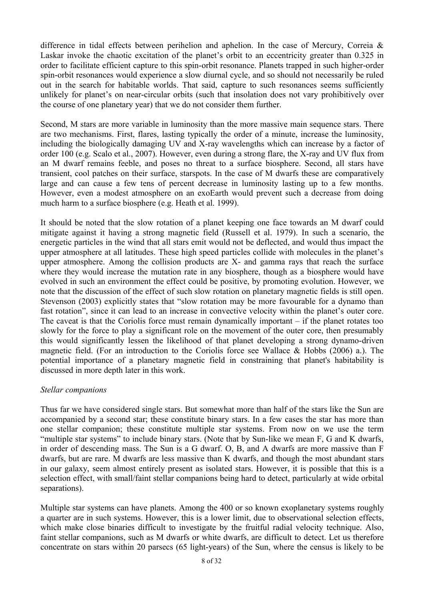difference in tidal effects between perihelion and aphelion. In the case of Mercury, Correia & Laskar invoke the chaotic excitation of the planet's orbit to an eccentricity greater than 0.325 in order to facilitate efficient capture to this spin-orbit resonance. Planets trapped in such higher-order spin-orbit resonances would experience a slow diurnal cycle, and so should not necessarily be ruled out in the search for habitable worlds. That said, capture to such resonances seems sufficiently unlikely for planet's on near-circular orbits (such that insolation does not vary prohibitively over the course of one planetary year) that we do not consider them further.

Second, M stars are more variable in luminosity than the more massive main sequence stars. There are two mechanisms. First, flares, lasting typically the order of a minute, increase the luminosity, including the biologically damaging UV and X-ray wavelengths which can increase by a factor of order 100 (e.g. Scalo et al., 2007). However, even during a strong flare, the X-ray and UV flux from an M dwarf remains feeble, and poses no threat to a surface biosphere. Second, all stars have transient, cool patches on their surface, starspots. In the case of M dwarfs these are comparatively large and can cause a few tens of percent decrease in luminosity lasting up to a few months. However, even a modest atmosphere on an exoEarth would prevent such a decrease from doing much harm to a surface biosphere (e.g. Heath et al. 1999).

It should be noted that the slow rotation of a planet keeping one face towards an M dwarf could mitigate against it having a strong magnetic field (Russell et al. 1979). In such a scenario, the energetic particles in the wind that all stars emit would not be deflected, and would thus impact the upper atmosphere at all latitudes. These high speed particles collide with molecules in the planet's upper atmosphere. Among the collision products are X- and gamma rays that reach the surface where they would increase the mutation rate in any biosphere, though as a biosphere would have evolved in such an environment the effect could be positive, by promoting evolution. However, we note that the discussion of the effect of such slow rotation on planetary magnetic fields is still open. Stevenson (2003) explicitly states that "slow rotation may be more favourable for a dynamo than fast rotation", since it can lead to an increase in convective velocity within the planet's outer core. The caveat is that the Coriolis force must remain dynamically important – if the planet rotates too slowly for the force to play a significant role on the movement of the outer core, then presumably this would significantly lessen the likelihood of that planet developing a strong dynamo-driven magnetic field. (For an introduction to the Coriolis force see Wallace & Hobbs (2006) a.). The potential importance of a planetary magnetic field in constraining that planet's habitability is discussed in more depth later in this work.

# *Stellar companions*

Thus far we have considered single stars. But somewhat more than half of the stars like the Sun are accompanied by a second star; these constitute binary stars. In a few cases the star has more than one stellar companion; these constitute multiple star systems. From now on we use the term "multiple star systems" to include binary stars. (Note that by Sun-like we mean F, G and K dwarfs, in order of descending mass. The Sun is a G dwarf. O, B, and A dwarfs are more massive than F dwarfs, but are rare. M dwarfs are less massive than K dwarfs, and though the most abundant stars in our galaxy, seem almost entirely present as isolated stars. However, it is possible that this is a selection effect, with small/faint stellar companions being hard to detect, particularly at wide orbital separations).

Multiple star systems can have planets. Among the 400 or so known exoplanetary systems roughly a quarter are in such systems. However, this is a lower limit, due to observational selection effects, which make close binaries difficult to investigate by the fruitful radial velocity technique. Also, faint stellar companions, such as M dwarfs or white dwarfs, are difficult to detect. Let us therefore concentrate on stars within 20 parsecs (65 light-years) of the Sun, where the census is likely to be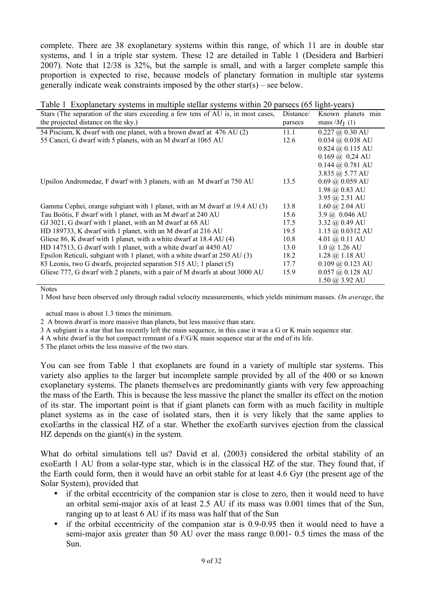complete. There are 38 exoplanetary systems within this range, of which 11 are in double star systems, and 1 in a triple star system. These 12 are detailed in Table 1 (Desidera and Barbieri 2007). Note that 12/38 is 32%, but the sample is small, and with a larger complete sample this proportion is expected to rise, because models of planetary formation in multiple star systems generally indicate weak constraints imposed by the other star(s) – see below.

Table 1 Exoplanetary systems in multiple stellar systems within 20 parsecs (65 light-years)

| Stars (The separation of the stars exceeding a few tens of AU is, in most cases, | Distance/ | Known planets min                         |
|----------------------------------------------------------------------------------|-----------|-------------------------------------------|
| the projected distance on the sky.)                                              | parsecs   | mass $/M_{\rm J}$ (1)                     |
| 54 Piscium, K dwarf with one planet, with a brown dwarf at 476 AU (2)            | 11.1      | $0.227$ @ $0.30$ AU                       |
| 55 Cancri, G dwarf with 5 planets, with an M dwarf at 1065 AU                    | 12.6      | $0.034$ $@$ $0.038$ AU                    |
|                                                                                  |           | $0.824 \; (\partial, 0.115 \; \text{AU})$ |
|                                                                                  |           | $0.169 \; \textcircled{a}$ 0,24 AU        |
|                                                                                  |           | $0.144 \omega$ 0.781 AU                   |
|                                                                                  |           | 3.835 @ 5.77 AU                           |
| Upsilon Andromedae, F dwarf with 3 planets, with an M dwarf at 750 AU            | 13.5      | $0.69 @ 0.059$ AU                         |
|                                                                                  |           | $1.98 \; (\omega) 0.83 \; \text{AU}$      |
|                                                                                  |           | 3.95 $@2.51$ AU                           |
| Gamma Cephei, orange subgiant with 1 planet, with an M dwarf at 19.4 AU (3)      | 13.8      | $1.60 \ (\omega$ 2.04 AU                  |
| Tau Boötis, F dwarf with 1 planet, with an M dwarf at 240 AU                     | 15.6      | $3.9 \ (\omega) \ 0.046 \ \text{AU}$      |
| GJ 3021, G dwarf with 1 planet, with an M dwarf at 68 AU                         | 17.5      | 3.32 @ $0.49$ AU                          |
| HD 189733, K dwarf with 1 planet, with an M dwarf at 216 AU                      | 19.5      | $1.15 \omega$ 0.0312 AU                   |
| Gliese 86, K dwarf with 1 planet, with a white dwarf at 18.4 AU (4)              | 10.8      | 4.01 $(a)$ 0.11 AU                        |
| HD 147513, G dwarf with 1 planet, with a white dwarf at 4450 AU                  | 13.0      | $1.0 \ (\omega) 1.26 \ AU$                |
| Epsilon Reticuli, subgiant with 1 planet, with a white dwarf at 250 AU (3)       | 18.2      | $1.28 \omega$ 1.18 AU                     |
| 83 Leonis, two G dwarfs, projected separation 515 AU; 1 planet (5)               | 17.7      | $0.109$ @ $0.123$ AU                      |
| Gliese 777, G dwarf with 2 planets, with a pair of M dwarfs at about 3000 AU     | 15.9      | $0.057$ @ $0.128$ AU                      |
|                                                                                  |           | $1.50 \ (\omega) 3.92 \ \mathrm{AU}$      |

**Notes** 

1 Most have been observed only through radial velocity measurements, which yields minimum masses. *On average*, the

actual mass is about 1.3 times the minimum.

2 A brown dwarf is more massive than planets, but less massive than stars.

3 A subgiant is a star that has recently left the main sequence, in this case it was a G or K main sequence star.

4 A white dwarf is the hot compact remnant of a F/G/K main sequence star at the end of its life.

5 The planet orbits the less massive of the two stars.

You can see from Table 1 that exoplanets are found in a variety of multiple star systems. This variety also applies to the larger but incomplete sample provided by all of the 400 or so known exoplanetary systems. The planets themselves are predominantly giants with very few approaching the mass of the Earth. This is because the less massive the planet the smaller its effect on the motion of its star. The important point is that if giant planets can form with as much facility in multiple planet systems as in the case of isolated stars, then it is very likely that the same applies to exoEarths in the classical HZ of a star. Whether the exoEarth survives ejection from the classical HZ depends on the giant(s) in the system.

What do orbital simulations tell us? David et al. (2003) considered the orbital stability of an exoEarth 1 AU from a solar-type star, which is in the classical HZ of the star. They found that, if the Earth could form, then it would have an orbit stable for at least 4.6 Gyr (the present age of the Solar System), provided that

- if the orbital eccentricity of the companion star is close to zero, then it would need to have an orbital semi-major axis of at least 2.5 AU if its mass was 0.001 times that of the Sun, ranging up to at least 6 AU if its mass was half that of the Sun
- if the orbital eccentricity of the companion star is 0.9-0.95 then it would need to have a semi-major axis greater than 50 AU over the mass range 0.001- 0.5 times the mass of the Sun.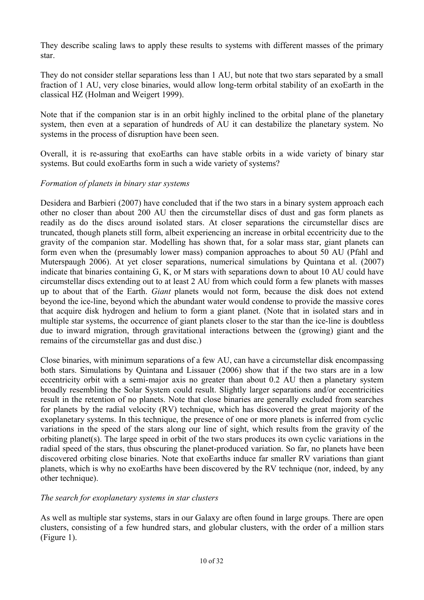They describe scaling laws to apply these results to systems with different masses of the primary star.

They do not consider stellar separations less than 1 AU, but note that two stars separated by a small fraction of 1 AU, very close binaries, would allow long-term orbital stability of an exoEarth in the classical HZ (Holman and Weigert 1999).

Note that if the companion star is in an orbit highly inclined to the orbital plane of the planetary system, then even at a separation of hundreds of AU it can destabilize the planetary system. No systems in the process of disruption have been seen.

Overall, it is re-assuring that exoEarths can have stable orbits in a wide variety of binary star systems. But could exoEarths form in such a wide variety of systems?

# *Formation of planets in binary star systems*

Desidera and Barbieri (2007) have concluded that if the two stars in a binary system approach each other no closer than about 200 AU then the circumstellar discs of dust and gas form planets as readily as do the discs around isolated stars. At closer separations the circumstellar discs are truncated, though planets still form, albeit experiencing an increase in orbital eccentricity due to the gravity of the companion star. Modelling has shown that, for a solar mass star, giant planets can form even when the (presumably lower mass) companion approaches to about 50 AU (Pfahl and Muterspaugh 2006). At yet closer separations, numerical simulations by Quintana et al. (2007) indicate that binaries containing G, K, or M stars with separations down to about 10 AU could have circumstellar discs extending out to at least 2 AU from which could form a few planets with masses up to about that of the Earth. *Giant* planets would not form, because the disk does not extend beyond the ice-line, beyond which the abundant water would condense to provide the massive cores that acquire disk hydrogen and helium to form a giant planet. (Note that in isolated stars and in multiple star systems, the occurrence of giant planets closer to the star than the ice-line is doubtless due to inward migration, through gravitational interactions between the (growing) giant and the remains of the circumstellar gas and dust disc.)

Close binaries, with minimum separations of a few AU, can have a circumstellar disk encompassing both stars. Simulations by Quintana and Lissauer (2006) show that if the two stars are in a low eccentricity orbit with a semi-major axis no greater than about 0.2 AU then a planetary system broadly resembling the Solar System could result. Slightly larger separations and/or eccentricities result in the retention of no planets. Note that close binaries are generally excluded from searches for planets by the radial velocity (RV) technique, which has discovered the great majority of the exoplanetary systems. In this technique, the presence of one or more planets is inferred from cyclic variations in the speed of the stars along our line of sight, which results from the gravity of the orbiting planet(s). The large speed in orbit of the two stars produces its own cyclic variations in the radial speed of the stars, thus obscuring the planet-produced variation. So far, no planets have been discovered orbiting close binaries. Note that exoEarths induce far smaller RV variations than giant planets, which is why no exoEarths have been discovered by the RV technique (nor, indeed, by any other technique).

# *The search for exoplanetary systems in star clusters*

As well as multiple star systems, stars in our Galaxy are often found in large groups. There are open clusters, consisting of a few hundred stars, and globular clusters, with the order of a million stars (Figure 1).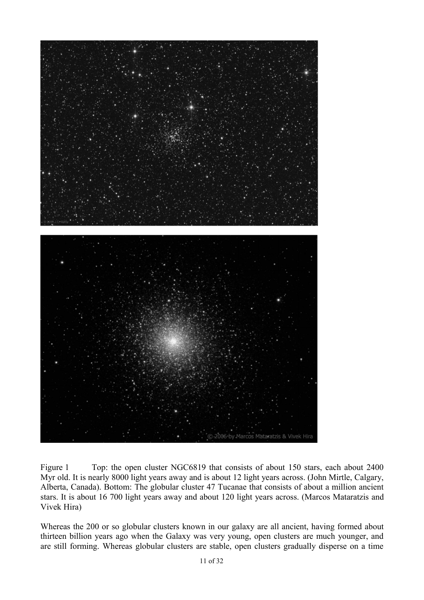

Figure 1 Top: the open cluster NGC6819 that consists of about 150 stars, each about 2400 Myr old. It is nearly 8000 light years away and is about 12 light years across. (John Mirtle, Calgary, Alberta, Canada). Bottom: The globular cluster 47 Tucanae that consists of about a million ancient stars. It is about 16 700 light years away and about 120 light years across. (Marcos Mataratzis and Vivek Hira)

Whereas the 200 or so globular clusters known in our galaxy are all ancient, having formed about thirteen billion years ago when the Galaxy was very young, open clusters are much younger, and are still forming. Whereas globular clusters are stable, open clusters gradually disperse on a time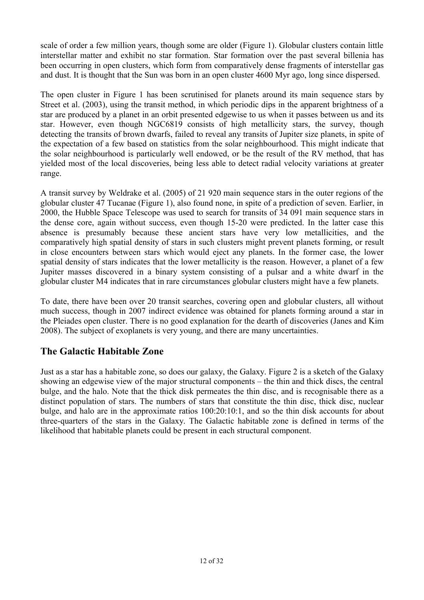scale of order a few million years, though some are older (Figure 1). Globular clusters contain little interstellar matter and exhibit no star formation. Star formation over the past several billenia has been occurring in open clusters, which form from comparatively dense fragments of interstellar gas and dust. It is thought that the Sun was born in an open cluster 4600 Myr ago, long since dispersed.

The open cluster in Figure 1 has been scrutinised for planets around its main sequence stars by Street et al. (2003), using the transit method, in which periodic dips in the apparent brightness of a star are produced by a planet in an orbit presented edgewise to us when it passes between us and its star. However, even though NGC6819 consists of high metallicity stars, the survey, though detecting the transits of brown dwarfs, failed to reveal any transits of Jupiter size planets, in spite of the expectation of a few based on statistics from the solar neighbourhood. This might indicate that the solar neighbourhood is particularly well endowed, or be the result of the RV method, that has yielded most of the local discoveries, being less able to detect radial velocity variations at greater range.

A transit survey by Weldrake et al. (2005) of 21 920 main sequence stars in the outer regions of the globular cluster 47 Tucanae (Figure 1), also found none, in spite of a prediction of seven. Earlier, in 2000, the Hubble Space Telescope was used to search for transits of 34 091 main sequence stars in the dense core, again without success, even though 15-20 were predicted. In the latter case this absence is presumably because these ancient stars have very low metallicities, and the comparatively high spatial density of stars in such clusters might prevent planets forming, or result in close encounters between stars which would eject any planets. In the former case, the lower spatial density of stars indicates that the lower metallicity is the reason. However, a planet of a few Jupiter masses discovered in a binary system consisting of a pulsar and a white dwarf in the globular cluster M4 indicates that in rare circumstances globular clusters might have a few planets.

To date, there have been over 20 transit searches, covering open and globular clusters, all without much success, though in 2007 indirect evidence was obtained for planets forming around a star in the Pleiades open cluster. There is no good explanation for the dearth of discoveries (Janes and Kim 2008). The subject of exoplanets is very young, and there are many uncertainties.

# **The Galactic Habitable Zone**

Just as a star has a habitable zone, so does our galaxy, the Galaxy. Figure 2 is a sketch of the Galaxy showing an edgewise view of the major structural components – the thin and thick discs, the central bulge, and the halo. Note that the thick disk permeates the thin disc, and is recognisable there as a distinct population of stars. The numbers of stars that constitute the thin disc, thick disc, nuclear bulge, and halo are in the approximate ratios 100:20:10:1, and so the thin disk accounts for about three-quarters of the stars in the Galaxy. The Galactic habitable zone is defined in terms of the likelihood that habitable planets could be present in each structural component.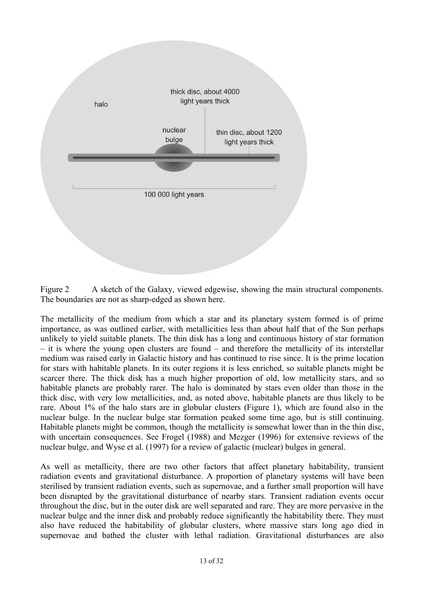

Figure 2 A sketch of the Galaxy, viewed edgewise, showing the main structural components. The boundaries are not as sharp-edged as shown here.

The metallicity of the medium from which a star and its planetary system formed is of prime importance, as was outlined earlier, with metallicities less than about half that of the Sun perhaps unlikely to yield suitable planets. The thin disk has a long and continuous history of star formation – it is where the young open clusters are found – and therefore the metallicity of its interstellar medium was raised early in Galactic history and has continued to rise since. It is the prime location for stars with habitable planets. In its outer regions it is less enriched, so suitable planets might be scarcer there. The thick disk has a much higher proportion of old, low metallicity stars, and so habitable planets are probably rarer. The halo is dominated by stars even older than those in the thick disc, with very low metallicities, and, as noted above, habitable planets are thus likely to be rare. About 1% of the halo stars are in globular clusters (Figure 1), which are found also in the nuclear bulge. In the nuclear bulge star formation peaked some time ago, but is still continuing. Habitable planets might be common, though the metallicity is somewhat lower than in the thin disc, with uncertain consequences. See Frogel (1988) and Mezger (1996) for extensive reviews of the nuclear bulge, and Wyse et al. (1997) for a review of galactic (nuclear) bulges in general.

As well as metallicity, there are two other factors that affect planetary habitability, transient radiation events and gravitational disturbance. A proportion of planetary systems will have been sterilised by transient radiation events, such as supernovae, and a further small proportion will have been disrupted by the gravitational disturbance of nearby stars. Transient radiation events occur throughout the disc, but in the outer disk are well separated and rare. They are more pervasive in the nuclear bulge and the inner disk and probably reduce significantly the habitability there. They must also have reduced the habitability of globular clusters, where massive stars long ago died in supernovae and bathed the cluster with lethal radiation. Gravitational disturbances are also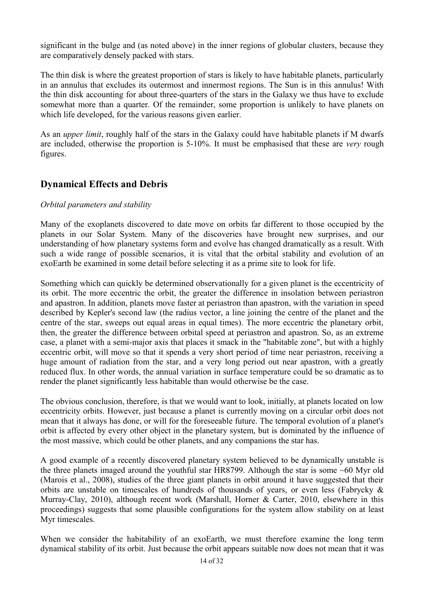significant in the bulge and (as noted above) in the inner regions of globular clusters, because they are comparatively densely packed with stars.

The thin disk is where the greatest proportion of stars is likely to have habitable planets, particularly in an annulus that excludes its outermost and innermost regions. The Sun is in this annulus! With the thin disk accounting for about three-quarters of the stars in the Galaxy we thus have to exclude somewhat more than a quarter. Of the remainder, some proportion is unlikely to have planets on which life developed, for the various reasons given earlier.

As an *upper limit*, roughly half of the stars in the Galaxy could have habitable planets if M dwarfs are included, otherwise the proportion is 5-10%. It must be emphasised that these are *very* rough figures.

# **Dynamical Effects and Debris**

#### *Orbital parameters and stability*

Many of the exoplanets discovered to date move on orbits far different to those occupied by the planets in our Solar System. Many of the discoveries have brought new surprises, and our understanding of how planetary systems form and evolve has changed dramatically as a result. With such a wide range of possible scenarios, it is vital that the orbital stability and evolution of an exoEarth be examined in some detail before selecting it as a prime site to look for life.

Something which can quickly be determined observationally for a given planet is the eccentricity of its orbit. The more eccentric the orbit, the greater the difference in insolation between periastron and apastron. In addition, planets move faster at periastron than apastron, with the variation in speed described by Kepler's second law (the radius vector, a line joining the centre of the planet and the centre of the star, sweeps out equal areas in equal times). The more eccentric the planetary orbit, then, the greater the difference between orbital speed at periastron and apastron. So, as an extreme case, a planet with a semi-major axis that places it smack in the "habitable zone", but with a highly eccentric orbit, will move so that it spends a very short period of time near periastron, receiving a huge amount of radiation from the star, and a very long period out near apastron, with a greatly reduced flux. In other words, the annual variation in surface temperature could be so dramatic as to render the planet significantly less habitable than would otherwise be the case.

The obvious conclusion, therefore, is that we would want to look, initially, at planets located on low eccentricity orbits. However, just because a planet is currently moving on a circular orbit does not mean that it always has done, or will for the foreseeable future. The temporal evolution of a planet's orbit is affected by every other object in the planetary system, but is dominated by the influence of the most massive, which could be other planets, and any companions the star has.

A good example of a recently discovered planetary system believed to be dynamically unstable is the three planets imaged around the youthful star HR8799. Although the star is some ~60 Myr old (Marois et al., 2008), studies of the three giant planets in orbit around it have suggested that their orbits are unstable on timescales of hundreds of thousands of years, or even less (Fabrycky & Murray-Clay, 2010), although recent work (Marshall, Horner & Carter, 2010, elsewhere in this proceedings) suggests that some plausible configurations for the system allow stability on at least Myr timescales.

When we consider the habitability of an exoEarth, we must therefore examine the long term dynamical stability of its orbit. Just because the orbit appears suitable now does not mean that it was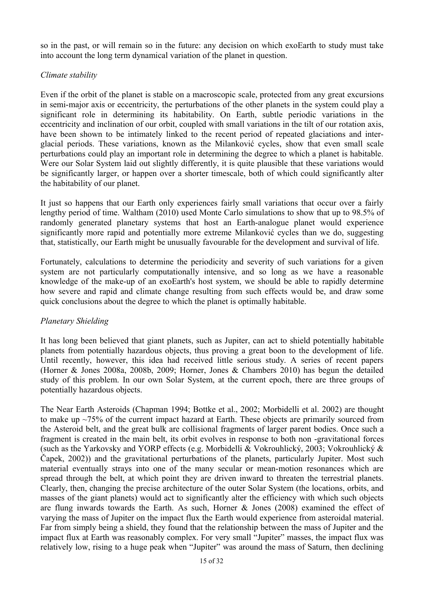so in the past, or will remain so in the future: any decision on which exoEarth to study must take into account the long term dynamical variation of the planet in question.

# *Climate stability*

Even if the orbit of the planet is stable on a macroscopic scale, protected from any great excursions in semi-major axis or eccentricity, the perturbations of the other planets in the system could play a significant role in determining its habitability. On Earth, subtle periodic variations in the eccentricity and inclination of our orbit, coupled with small variations in the tilt of our rotation axis, have been shown to be intimately linked to the recent period of repeated glaciations and interglacial periods. These variations, known as the Milanković cycles, show that even small scale perturbations could play an important role in determining the degree to which a planet is habitable. Were our Solar System laid out slightly differently, it is quite plausible that these variations would be significantly larger, or happen over a shorter timescale, both of which could significantly alter the habitability of our planet.

It just so happens that our Earth only experiences fairly small variations that occur over a fairly lengthy period of time. Waltham (2010) used Monte Carlo simulations to show that up to 98.5% of randomly generated planetary systems that host an Earth-analogue planet would experience significantly more rapid and potentially more extreme Milanković cycles than we do, suggesting that, statistically, our Earth might be unusually favourable for the development and survival of life.

Fortunately, calculations to determine the periodicity and severity of such variations for a given system are not particularly computationally intensive, and so long as we have a reasonable knowledge of the make-up of an exoEarth's host system, we should be able to rapidly determine how severe and rapid and climate change resulting from such effects would be, and draw some quick conclusions about the degree to which the planet is optimally habitable.

# *Planetary Shielding*

It has long been believed that giant planets, such as Jupiter, can act to shield potentially habitable planets from potentially hazardous objects, thus proving a great boon to the development of life. Until recently, however, this idea had received little serious study. A series of recent papers (Horner & Jones 2008a, 2008b, 2009; Horner, Jones & Chambers 2010) has begun the detailed study of this problem. In our own Solar System, at the current epoch, there are three groups of potentially hazardous objects.

The Near Earth Asteroids (Chapman 1994; Bottke et al., 2002; Morbidelli et al. 2002) are thought to make up ~75% of the current impact hazard at Earth. These objects are primarily sourced from the Asteroid belt, and the great bulk are collisional fragments of larger parent bodies. Once such a fragment is created in the main belt, its orbit evolves in response to both non -gravitational forces (such as the Yarkovsky and YORP effects (e.g. Morbidelli & Vokrouhlický, 2003; Vokrouhlický & Čapek, 2002)) and the gravitational perturbations of the planets, particularly Jupiter. Most such material eventually strays into one of the many secular or mean-motion resonances which are spread through the belt, at which point they are driven inward to threaten the terrestrial planets. Clearly, then, changing the precise architecture of the outer Solar System (the locations, orbits, and masses of the giant planets) would act to significantly alter the efficiency with which such objects are flung inwards towards the Earth. As such, Horner & Jones (2008) examined the effect of varying the mass of Jupiter on the impact flux the Earth would experience from asteroidal material. Far from simply being a shield, they found that the relationship between the mass of Jupiter and the impact flux at Earth was reasonably complex. For very small "Jupiter" masses, the impact flux was relatively low, rising to a huge peak when "Jupiter" was around the mass of Saturn, then declining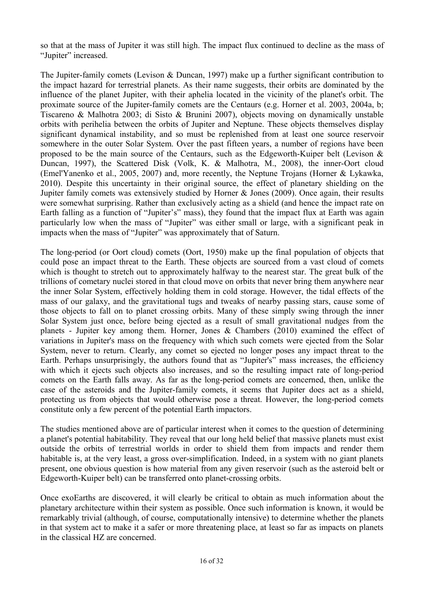so that at the mass of Jupiter it was still high. The impact flux continued to decline as the mass of "Jupiter" increased.

The Jupiter-family comets (Levison & Duncan, 1997) make up a further significant contribution to the impact hazard for terrestrial planets. As their name suggests, their orbits are dominated by the influence of the planet Jupiter, with their aphelia located in the vicinity of the planet's orbit. The proximate source of the Jupiter-family comets are the Centaurs (e.g. Horner et al. 2003, 2004a, b; Tiscareno & Malhotra 2003; di Sisto & Brunini 2007), objects moving on dynamically unstable orbits with perihelia between the orbits of Jupiter and Neptune. These objects themselves display significant dynamical instability, and so must be replenished from at least one source reservoir somewhere in the outer Solar System. Over the past fifteen years, a number of regions have been proposed to be the main source of the Centaurs, such as the Edgeworth-Kuiper belt (Levison  $\&$ Duncan, 1997), the Scattered Disk (Volk, K. & Malhotra, M., 2008), the inner-Oort cloud (Emel'Yanenko et al., 2005, 2007) and, more recently, the Neptune Trojans (Horner & Lykawka, 2010). Despite this uncertainty in their original source, the effect of planetary shielding on the Jupiter family comets was extensively studied by Horner & Jones (2009). Once again, their results were somewhat surprising. Rather than exclusively acting as a shield (and hence the impact rate on Earth falling as a function of "Jupiter's" mass), they found that the impact flux at Earth was again particularly low when the mass of "Jupiter" was either small or large, with a significant peak in impacts when the mass of "Jupiter" was approximately that of Saturn.

The long-period (or Oort cloud) comets (Oort, 1950) make up the final population of objects that could pose an impact threat to the Earth. These objects are sourced from a vast cloud of comets which is thought to stretch out to approximately halfway to the nearest star. The great bulk of the trillions of cometary nuclei stored in that cloud move on orbits that never bring them anywhere near the inner Solar System, effectively holding them in cold storage. However, the tidal effects of the mass of our galaxy, and the gravitational tugs and tweaks of nearby passing stars, cause some of those objects to fall on to planet crossing orbits. Many of these simply swing through the inner Solar System just once, before being ejected as a result of small gravitational nudges from the planets - Jupiter key among them. Horner, Jones & Chambers (2010) examined the effect of variations in Jupiter's mass on the frequency with which such comets were ejected from the Solar System, never to return. Clearly, any comet so ejected no longer poses any impact threat to the Earth. Perhaps unsurprisingly, the authors found that as "Jupiter's" mass increases, the efficiency with which it ejects such objects also increases, and so the resulting impact rate of long-period comets on the Earth falls away. As far as the long-period comets are concerned, then, unlike the case of the asteroids and the Jupiter-family comets, it seems that Jupiter does act as a shield, protecting us from objects that would otherwise pose a threat. However, the long-period comets constitute only a few percent of the potential Earth impactors.

The studies mentioned above are of particular interest when it comes to the question of determining a planet's potential habitability. They reveal that our long held belief that massive planets must exist outside the orbits of terrestrial worlds in order to shield them from impacts and render them habitable is, at the very least, a gross over-simplification. Indeed, in a system with no giant planets present, one obvious question is how material from any given reservoir (such as the asteroid belt or Edgeworth-Kuiper belt) can be transferred onto planet-crossing orbits.

Once exoEarths are discovered, it will clearly be critical to obtain as much information about the planetary architecture within their system as possible. Once such information is known, it would be remarkably trivial (although, of course, computationally intensive) to determine whether the planets in that system act to make it a safer or more threatening place, at least so far as impacts on planets in the classical HZ are concerned.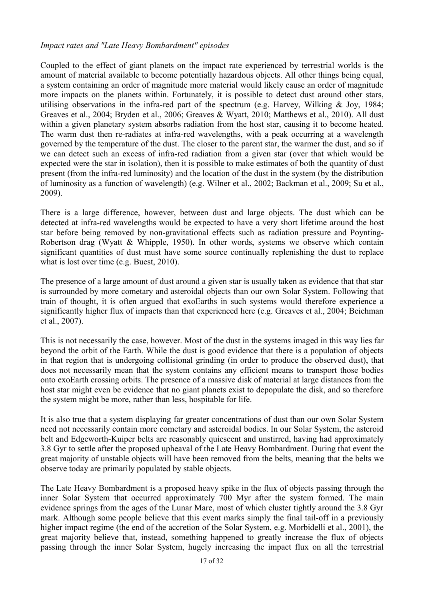# *Impact rates and "Late Heavy Bombardment" episodes*

Coupled to the effect of giant planets on the impact rate experienced by terrestrial worlds is the amount of material available to become potentially hazardous objects. All other things being equal, a system containing an order of magnitude more material would likely cause an order of magnitude more impacts on the planets within. Fortunately, it is possible to detect dust around other stars, utilising observations in the infra-red part of the spectrum (e.g. Harvey, Wilking & Joy, 1984; Greaves et al., 2004; Bryden et al., 2006; Greaves & Wyatt, 2010; Matthews et al., 2010). All dust within a given planetary system absorbs radiation from the host star, causing it to become heated. The warm dust then re-radiates at infra-red wavelengths, with a peak occurring at a wavelength governed by the temperature of the dust. The closer to the parent star, the warmer the dust, and so if we can detect such an excess of infra-red radiation from a given star (over that which would be expected were the star in isolation), then it is possible to make estimates of both the quantity of dust present (from the infra-red luminosity) and the location of the dust in the system (by the distribution of luminosity as a function of wavelength) (e.g. Wilner et al., 2002; Backman et al., 2009; Su et al., 2009).

There is a large difference, however, between dust and large objects. The dust which can be detected at infra-red wavelengths would be expected to have a very short lifetime around the host star before being removed by non-gravitational effects such as radiation pressure and Poynting-Robertson drag (Wyatt & Whipple, 1950). In other words, systems we observe which contain significant quantities of dust must have some source continually replenishing the dust to replace what is lost over time (e.g. Buest, 2010).

The presence of a large amount of dust around a given star is usually taken as evidence that that star is surrounded by more cometary and asteroidal objects than our own Solar System. Following that train of thought, it is often argued that exoEarths in such systems would therefore experience a significantly higher flux of impacts than that experienced here (e.g. Greaves et al., 2004; Beichman et al., 2007).

This is not necessarily the case, however. Most of the dust in the systems imaged in this way lies far beyond the orbit of the Earth. While the dust is good evidence that there is a population of objects in that region that is undergoing collisional grinding (in order to produce the observed dust), that does not necessarily mean that the system contains any efficient means to transport those bodies onto exoEarth crossing orbits. The presence of a massive disk of material at large distances from the host star might even be evidence that no giant planets exist to depopulate the disk, and so therefore the system might be more, rather than less, hospitable for life.

It is also true that a system displaying far greater concentrations of dust than our own Solar System need not necessarily contain more cometary and asteroidal bodies. In our Solar System, the asteroid belt and Edgeworth-Kuiper belts are reasonably quiescent and unstirred, having had approximately 3.8 Gyr to settle after the proposed upheaval of the Late Heavy Bombardment. During that event the great majority of unstable objects will have been removed from the belts, meaning that the belts we observe today are primarily populated by stable objects.

The Late Heavy Bombardment is a proposed heavy spike in the flux of objects passing through the inner Solar System that occurred approximately 700 Myr after the system formed. The main evidence springs from the ages of the Lunar Mare, most of which cluster tightly around the 3.8 Gyr mark. Although some people believe that this event marks simply the final tail-off in a previously higher impact regime (the end of the accretion of the Solar System, e.g. Morbidelli et al., 2001), the great majority believe that, instead, something happened to greatly increase the flux of objects passing through the inner Solar System, hugely increasing the impact flux on all the terrestrial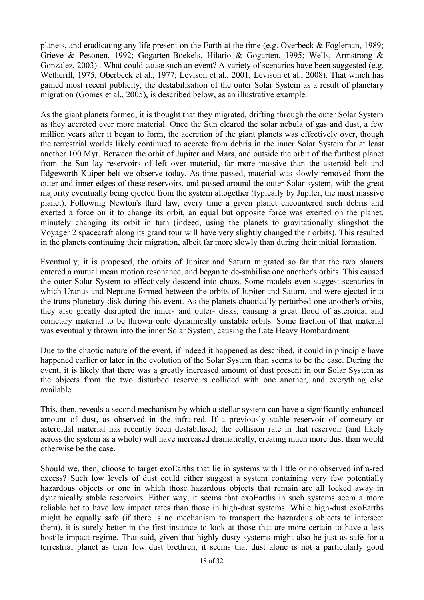planets, and eradicating any life present on the Earth at the time (e.g. Overbeck & Fogleman, 1989; Grieve & Pesonen, 1992; Gogarten-Boekels, Hilario & Gogarten, 1995; Wells, Armstrong & Gonzalez, 2003) . What could cause such an event? A variety of scenarios have been suggested (e.g. Wetherill, 1975; Oberbeck et al., 1977; Levison et al., 2001; Levison et al., 2008). That which has gained most recent publicity, the destabilisation of the outer Solar System as a result of planetary migration (Gomes et al., 2005), is described below, as an illustrative example.

As the giant planets formed, it is thought that they migrated, drifting through the outer Solar System as they accreted ever more material. Once the Sun cleared the solar nebula of gas and dust, a few million years after it began to form, the accretion of the giant planets was effectively over, though the terrestrial worlds likely continued to accrete from debris in the inner Solar System for at least another 100 Myr. Between the orbit of Jupiter and Mars, and outside the orbit of the furthest planet from the Sun lay reservoirs of left over material, far more massive than the asteroid belt and Edgeworth-Kuiper belt we observe today. As time passed, material was slowly removed from the outer and inner edges of these reservoirs, and passed around the outer Solar system, with the great majority eventually being ejected from the system altogether (typically by Jupiter, the most massive planet). Following Newton's third law, every time a given planet encountered such debris and exerted a force on it to change its orbit, an equal but opposite force was exerted on the planet, minutely changing its orbit in turn (indeed, using the planets to gravitationally slingshot the Voyager 2 spacecraft along its grand tour will have very slightly changed their orbits). This resulted in the planets continuing their migration, albeit far more slowly than during their initial formation.

Eventually, it is proposed, the orbits of Jupiter and Saturn migrated so far that the two planets entered a mutual mean motion resonance, and began to de-stabilise one another's orbits. This caused the outer Solar System to effectively descend into chaos. Some models even suggest scenarios in which Uranus and Neptune formed between the orbits of Jupiter and Saturn, and were ejected into the trans-planetary disk during this event. As the planets chaotically perturbed one-another's orbits, they also greatly disrupted the inner- and outer- disks, causing a great flood of asteroidal and cometary material to be thrown onto dynamically unstable orbits. Some fraction of that material was eventually thrown into the inner Solar System, causing the Late Heavy Bombardment.

Due to the chaotic nature of the event, if indeed it happened as described, it could in principle have happened earlier or later in the evolution of the Solar System than seems to be the case. During the event, it is likely that there was a greatly increased amount of dust present in our Solar System as the objects from the two disturbed reservoirs collided with one another, and everything else available.

This, then, reveals a second mechanism by which a stellar system can have a significantly enhanced amount of dust, as observed in the infra-red. If a previously stable reservoir of cometary or asteroidal material has recently been destabilised, the collision rate in that reservoir (and likely across the system as a whole) will have increased dramatically, creating much more dust than would otherwise be the case.

Should we, then, choose to target exoEarths that lie in systems with little or no observed infra-red excess? Such low levels of dust could either suggest a system containing very few potentially hazardous objects or one in which those hazardous objects that remain are all locked away in dynamically stable reservoirs. Either way, it seems that exoEarths in such systems seem a more reliable bet to have low impact rates than those in high-dust systems. While high-dust exoEarths might be equally safe (if there is no mechanism to transport the hazardous objects to intersect them), it is surely better in the first instance to look at those that are more certain to have a less hostile impact regime. That said, given that highly dusty systems might also be just as safe for a terrestrial planet as their low dust brethren, it seems that dust alone is not a particularly good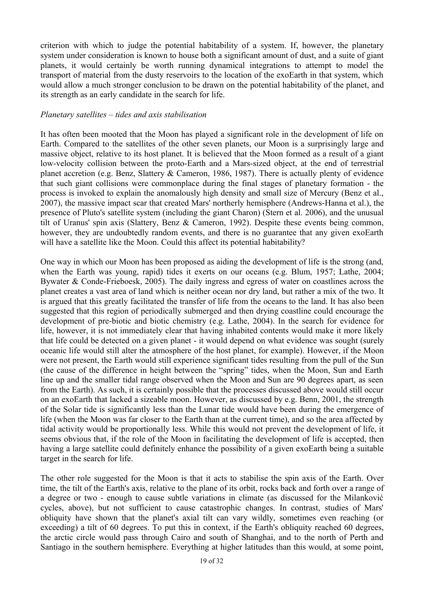criterion with which to judge the potential habitability of a system. If, however, the planetary system under consideration is known to house both a significant amount of dust, and a suite of giant planets, it would certainly be worth running dynamical integrations to attempt to model the transport of material from the dusty reservoirs to the location of the exoEarth in that system, which would allow a much stronger conclusion to be drawn on the potential habitability of the planet, and its strength as an early candidate in the search for life.

#### *Planetary satellites – tides and axis stabilisation*

It has often been mooted that the Moon has played a significant role in the development of life on Earth. Compared to the satellites of the other seven planets, our Moon is a surprisingly large and massive object, relative to its host planet. It is believed that the Moon formed as a result of a giant low-velocity collision between the proto-Earth and a Mars-sized object, at the end of terrestrial planet accretion (e.g. Benz, Slattery & Cameron, 1986, 1987). There is actually plenty of evidence that such giant collisions were commonplace during the final stages of planetary formation - the process is invoked to explain the anomalously high density and small size of Mercury (Benz et al., 2007), the massive impact scar that created Mars' northerly hemisphere (Andrews-Hanna et al.), the presence of Pluto's satellite system (including the giant Charon) (Stern et al. 2006), and the unusual tilt of Uranus' spin axis (Slattery, Benz & Cameron, 1992). Despite these events being common, however, they are undoubtedly random events, and there is no guarantee that any given exoEarth will have a satellite like the Moon. Could this affect its potential habitability?

One way in which our Moon has been proposed as aiding the development of life is the strong (and, when the Earth was young, rapid) tides it exerts on our oceans (e.g. Blum, 1957; Lathe, 2004; Bywater & Conde-Frieboesk, 2005). The daily ingress and egress of water on coastlines across the planet creates a vast area of land which is neither ocean nor dry land, but rather a mix of the two. It is argued that this greatly facilitated the transfer of life from the oceans to the land. It has also been suggested that this region of periodically submerged and then drying coastline could encourage the development of pre-biotic and biotic chemistry (e.g. Lathe, 2004). In the search for evidence for life, however, it is not immediately clear that having inhabited contents would make it more likely that life could be detected on a given planet - it would depend on what evidence was sought (surely oceanic life would still alter the atmosphere of the host planet, for example). However, if the Moon were not present, the Earth would still experience significant tides resulting from the pull of the Sun (the cause of the difference in height between the "spring" tides, when the Moon, Sun and Earth line up and the smaller tidal range observed when the Moon and Sun are 90 degrees apart, as seen from the Earth). As such, it is certainly possible that the processes discussed above would still occur on an exoEarth that lacked a sizeable moon. However, as discussed by e.g. Benn, 2001, the strength of the Solar tide is significantly less than the Lunar tide would have been during the emergence of life (when the Moon was far closer to the Earth than at the current time), and so the area affected by tidal activity would be proportionally less. While this would not prevent the development of life, it seems obvious that, if the role of the Moon in facilitating the development of life is accepted, then having a large satellite could definitely enhance the possibility of a given exoEarth being a suitable target in the search for life.

The other role suggested for the Moon is that it acts to stabilise the spin axis of the Earth. Over time, the tilt of the Earth's axis, relative to the plane of its orbit, rocks back and forth over a range of a degree or two - enough to cause subtle variations in climate (as discussed for the Milanković cycles, above), but not sufficient to cause catastrophic changes. In contrast, studies of Mars' obliquity have shown that the planet's axial tilt can vary wildly, sometimes even reaching (or exceeding) a tilt of 60 degrees. To put this in context, if the Earth's obliquity reached 60 degrees, the arctic circle would pass through Cairo and south of Shanghai, and to the north of Perth and Santiago in the southern hemisphere. Everything at higher latitudes than this would, at some point,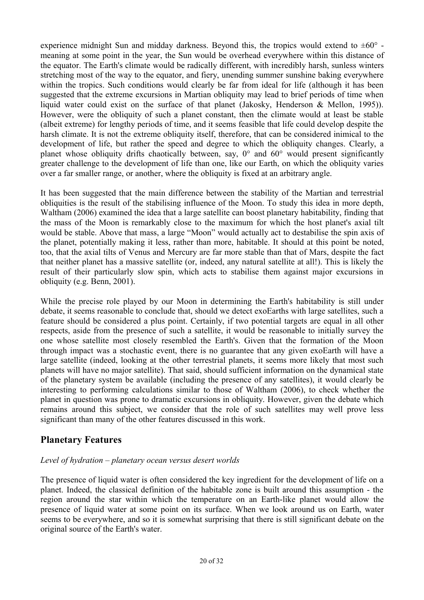experience midnight Sun and midday darkness. Beyond this, the tropics would extend to  $\pm 60^{\circ}$  meaning at some point in the year, the Sun would be overhead everywhere within this distance of the equator. The Earth's climate would be radically different, with incredibly harsh, sunless winters stretching most of the way to the equator, and fiery, unending summer sunshine baking everywhere within the tropics. Such conditions would clearly be far from ideal for life (although it has been suggested that the extreme excursions in Martian obliquity may lead to brief periods of time when liquid water could exist on the surface of that planet (Jakosky, Henderson & Mellon, 1995)). However, were the obliquity of such a planet constant, then the climate would at least be stable (albeit extreme) for lengthy periods of time, and it seems feasible that life could develop despite the harsh climate. It is not the extreme obliquity itself, therefore, that can be considered inimical to the development of life, but rather the speed and degree to which the obliquity changes. Clearly, a planet whose obliquity drifts chaotically between, say, 0° and 60° would present significantly greater challenge to the development of life than one, like our Earth, on which the obliquity varies over a far smaller range, or another, where the obliquity is fixed at an arbitrary angle.

It has been suggested that the main difference between the stability of the Martian and terrestrial obliquities is the result of the stabilising influence of the Moon. To study this idea in more depth, Waltham (2006) examined the idea that a large satellite can boost planetary habitability, finding that the mass of the Moon is remarkably close to the maximum for which the host planet's axial tilt would be stable. Above that mass, a large "Moon" would actually act to destabilise the spin axis of the planet, potentially making it less, rather than more, habitable. It should at this point be noted, too, that the axial tilts of Venus and Mercury are far more stable than that of Mars, despite the fact that neither planet has a massive satellite (or, indeed, any natural satellite at all!). This is likely the result of their particularly slow spin, which acts to stabilise them against major excursions in obliquity (e.g. Benn, 2001).

While the precise role played by our Moon in determining the Earth's habitability is still under debate, it seems reasonable to conclude that, should we detect exoEarths with large satellites, such a feature should be considered a plus point. Certainly, if two potential targets are equal in all other respects, aside from the presence of such a satellite, it would be reasonable to initially survey the one whose satellite most closely resembled the Earth's. Given that the formation of the Moon through impact was a stochastic event, there is no guarantee that any given exoEarth will have a large satellite (indeed, looking at the other terrestrial planets, it seems more likely that most such planets will have no major satellite). That said, should sufficient information on the dynamical state of the planetary system be available (including the presence of any satellites), it would clearly be interesting to performing calculations similar to those of Waltham (2006), to check whether the planet in question was prone to dramatic excursions in obliquity. However, given the debate which remains around this subject, we consider that the role of such satellites may well prove less significant than many of the other features discussed in this work.

# **Planetary Features**

# *Level of hydration – planetary ocean versus desert worlds*

The presence of liquid water is often considered the key ingredient for the development of life on a planet. Indeed, the classical definition of the habitable zone is built around this assumption - the region around the star within which the temperature on an Earth-like planet would allow the presence of liquid water at some point on its surface. When we look around us on Earth, water seems to be everywhere, and so it is somewhat surprising that there is still significant debate on the original source of the Earth's water.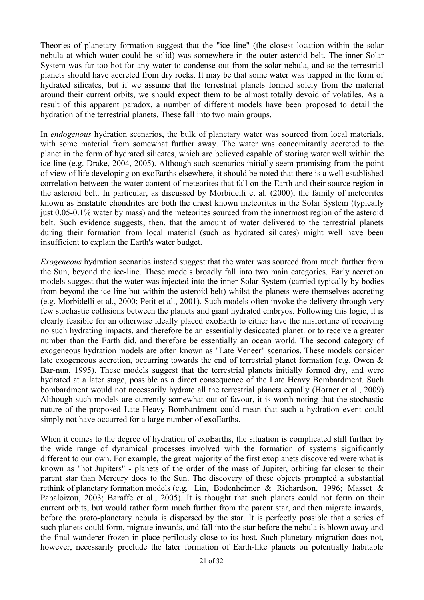Theories of planetary formation suggest that the "ice line" (the closest location within the solar nebula at which water could be solid) was somewhere in the outer asteroid belt. The inner Solar System was far too hot for any water to condense out from the solar nebula, and so the terrestrial planets should have accreted from dry rocks. It may be that some water was trapped in the form of hydrated silicates, but if we assume that the terrestrial planets formed solely from the material around their current orbits, we should expect them to be almost totally devoid of volatiles. As a result of this apparent paradox, a number of different models have been proposed to detail the hydration of the terrestrial planets. These fall into two main groups.

In *endogenous* hydration scenarios, the bulk of planetary water was sourced from local materials, with some material from somewhat further away. The water was concomitantly accreted to the planet in the form of hydrated silicates, which are believed capable of storing water well within the ice-line (e.g. Drake, 2004, 2005). Although such scenarios initially seem promising from the point of view of life developing on exoEarths elsewhere, it should be noted that there is a well established correlation between the water content of meteorites that fall on the Earth and their source region in the asteroid belt. In particular, as discussed by Morbidelli et al. (2000), the family of meteorites known as Enstatite chondrites are both the driest known meteorites in the Solar System (typically just 0.05-0.1% water by mass) and the meteorites sourced from the innermost region of the asteroid belt. Such evidence suggests, then, that the amount of water delivered to the terrestrial planets during their formation from local material (such as hydrated silicates) might well have been insufficient to explain the Earth's water budget.

*Exogeneous* hydration scenarios instead suggest that the water was sourced from much further from the Sun, beyond the ice-line. These models broadly fall into two main categories. Early accretion models suggest that the water was injected into the inner Solar System (carried typically by bodies from beyond the ice-line but within the asteroid belt) whilst the planets were themselves accreting (e.g. Morbidelli et al., 2000; Petit et al., 2001). Such models often invoke the delivery through very few stochastic collisions between the planets and giant hydrated embryos. Following this logic, it is clearly feasible for an otherwise ideally placed exoEarth to either have the misfortune of receiving no such hydrating impacts, and therefore be an essentially desiccated planet. or to receive a greater number than the Earth did, and therefore be essentially an ocean world. The second category of exogeneous hydration models are often known as "Late Veneer" scenarios. These models consider late exogeneous accretion, occurring towards the end of terrestrial planet formation (e.g. Owen & Bar-nun, 1995). These models suggest that the terrestrial planets initially formed dry, and were hydrated at a later stage, possible as a direct consequence of the Late Heavy Bombardment. Such bombardment would not necessarily hydrate all the terrestrial planets equally (Horner et al., 2009) Although such models are currently somewhat out of favour, it is worth noting that the stochastic nature of the proposed Late Heavy Bombardment could mean that such a hydration event could simply not have occurred for a large number of exoEarths.

When it comes to the degree of hydration of exoEarths, the situation is complicated still further by the wide range of dynamical processes involved with the formation of systems significantly different to our own. For example, the great majority of the first exoplanets discovered were what is known as "hot Jupiters" - planets of the order of the mass of Jupiter, orbiting far closer to their parent star than Mercury does to the Sun. The discovery of these objects prompted a substantial rethink of planetary formation models (e.g. Lin, Bodenheimer & Richardson, 1996; Masset & Papaloizou, 2003; Baraffe et al., 2005). It is thought that such planets could not form on their current orbits, but would rather form much further from the parent star, and then migrate inwards, before the proto-planetary nebula is dispersed by the star. It is perfectly possible that a series of such planets could form, migrate inwards, and fall into the star before the nebula is blown away and the final wanderer frozen in place perilously close to its host. Such planetary migration does not, however, necessarily preclude the later formation of Earth-like planets on potentially habitable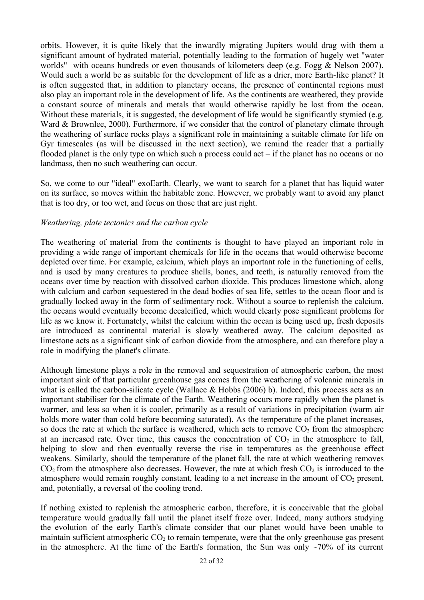orbits. However, it is quite likely that the inwardly migrating Jupiters would drag with them a significant amount of hydrated material, potentially leading to the formation of hugely wet "water worlds" with oceans hundreds or even thousands of kilometers deep (e.g. Fogg & Nelson 2007). Would such a world be as suitable for the development of life as a drier, more Earth-like planet? It is often suggested that, in addition to planetary oceans, the presence of continental regions must also play an important role in the development of life. As the continents are weathered, they provide a constant source of minerals and metals that would otherwise rapidly be lost from the ocean. Without these materials, it is suggested, the development of life would be significantly stymied (e.g. Ward & Brownlee, 2000). Furthermore, if we consider that the control of planetary climate through the weathering of surface rocks plays a significant role in maintaining a suitable climate for life on Gyr timescales (as will be discussed in the next section), we remind the reader that a partially flooded planet is the only type on which such a process could act – if the planet has no oceans or no landmass, then no such weathering can occur.

So, we come to our "ideal" exoEarth. Clearly, we want to search for a planet that has liquid water on its surface, so moves within the habitable zone. However, we probably want to avoid any planet that is too dry, or too wet, and focus on those that are just right.

# *Weathering, plate tectonics and the carbon cycle*

The weathering of material from the continents is thought to have played an important role in providing a wide range of important chemicals for life in the oceans that would otherwise become depleted over time. For example, calcium, which plays an important role in the functioning of cells, and is used by many creatures to produce shells, bones, and teeth, is naturally removed from the oceans over time by reaction with dissolved carbon dioxide. This produces limestone which, along with calcium and carbon sequestered in the dead bodies of sea life, settles to the ocean floor and is gradually locked away in the form of sedimentary rock. Without a source to replenish the calcium, the oceans would eventually become decalcified, which would clearly pose significant problems for life as we know it. Fortunately, whilst the calcium within the ocean is being used up, fresh deposits are introduced as continental material is slowly weathered away. The calcium deposited as limestone acts as a significant sink of carbon dioxide from the atmosphere, and can therefore play a role in modifying the planet's climate.

Although limestone plays a role in the removal and sequestration of atmospheric carbon, the most important sink of that particular greenhouse gas comes from the weathering of volcanic minerals in what is called the carbon-silicate cycle (Wallace & Hobbs (2006) b). Indeed, this process acts as an important stabiliser for the climate of the Earth. Weathering occurs more rapidly when the planet is warmer, and less so when it is cooler, primarily as a result of variations in precipitation (warm air holds more water than cold before becoming saturated). As the temperature of the planet increases, so does the rate at which the surface is weathered, which acts to remove  $CO<sub>2</sub>$  from the atmosphere at an increased rate. Over time, this causes the concentration of  $CO<sub>2</sub>$  in the atmosphere to fall, helping to slow and then eventually reverse the rise in temperatures as the greenhouse effect weakens. Similarly, should the temperature of the planet fall, the rate at which weathering removes  $CO<sub>2</sub>$  from the atmosphere also decreases. However, the rate at which fresh  $CO<sub>2</sub>$  is introduced to the atmosphere would remain roughly constant, leading to a net increase in the amount of  $CO<sub>2</sub>$  present, and, potentially, a reversal of the cooling trend.

If nothing existed to replenish the atmospheric carbon, therefore, it is conceivable that the global temperature would gradually fall until the planet itself froze over. Indeed, many authors studying the evolution of the early Earth's climate consider that our planet would have been unable to maintain sufficient atmospheric  $CO<sub>2</sub>$  to remain temperate, were that the only greenhouse gas present in the atmosphere. At the time of the Earth's formation, the Sun was only  $\sim$ 70% of its current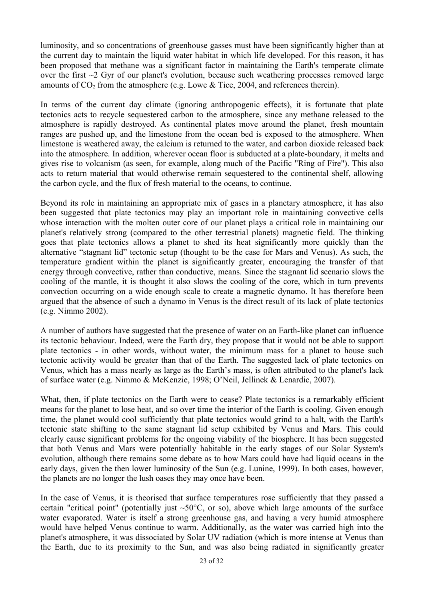luminosity, and so concentrations of greenhouse gasses must have been significantly higher than at the current day to maintain the liquid water habitat in which life developed. For this reason, it has been proposed that methane was a significant factor in maintaining the Earth's temperate climate over the first ~2 Gyr of our planet's evolution, because such weathering processes removed large amounts of  $CO<sub>2</sub>$  from the atmosphere (e.g. Lowe  $&$  Tice, 2004, and references therein).

In terms of the current day climate (ignoring anthropogenic effects), it is fortunate that plate tectonics acts to recycle sequestered carbon to the atmosphere, since any methane released to the atmosphere is rapidly destroyed. As continental plates move around the planet, fresh mountain ranges are pushed up, and the limestone from the ocean bed is exposed to the atmosphere. When limestone is weathered away, the calcium is returned to the water, and carbon dioxide released back into the atmosphere. In addition, wherever ocean floor is subducted at a plate-boundary, it melts and gives rise to volcanism (as seen, for example, along much of the Pacific "Ring of Fire"). This also acts to return material that would otherwise remain sequestered to the continental shelf, allowing the carbon cycle, and the flux of fresh material to the oceans, to continue.

Beyond its role in maintaining an appropriate mix of gases in a planetary atmosphere, it has also been suggested that plate tectonics may play an important role in maintaining convective cells whose interaction with the molten outer core of our planet plays a critical role in maintaining our planet's relatively strong (compared to the other terrestrial planets) magnetic field. The thinking goes that plate tectonics allows a planet to shed its heat significantly more quickly than the alternative "stagnant lid" tectonic setup (thought to be the case for Mars and Venus). As such, the temperature gradient within the planet is significantly greater, encouraging the transfer of that energy through convective, rather than conductive, means. Since the stagnant lid scenario slows the cooling of the mantle, it is thought it also slows the cooling of the core, which in turn prevents convection occurring on a wide enough scale to create a magnetic dynamo. It has therefore been argued that the absence of such a dynamo in Venus is the direct result of its lack of plate tectonics (e.g. Nimmo 2002).

A number of authors have suggested that the presence of water on an Earth-like planet can influence its tectonic behaviour. Indeed, were the Earth dry, they propose that it would not be able to support plate tectonics - in other words, without water, the minimum mass for a planet to house such tectonic activity would be greater than that of the Earth. The suggested lack of plate tectonics on Venus, which has a mass nearly as large as the Earth's mass, is often attributed to the planet's lack of surface water (e.g. Nimmo & McKenzie, 1998; O'Neil, Jellinek & Lenardic, 2007).

What, then, if plate tectonics on the Earth were to cease? Plate tectonics is a remarkably efficient means for the planet to lose heat, and so over time the interior of the Earth is cooling. Given enough time, the planet would cool sufficiently that plate tectonics would grind to a halt, with the Earth's tectonic state shifting to the same stagnant lid setup exhibited by Venus and Mars. This could clearly cause significant problems for the ongoing viability of the biosphere. It has been suggested that both Venus and Mars were potentially habitable in the early stages of our Solar System's evolution, although there remains some debate as to how Mars could have had liquid oceans in the early days, given the then lower luminosity of the Sun (e.g. Lunine, 1999). In both cases, however, the planets are no longer the lush oases they may once have been.

In the case of Venus, it is theorised that surface temperatures rose sufficiently that they passed a certain "critical point" (potentially just  $\sim$  50 $\degree$ C, or so), above which large amounts of the surface water evaporated. Water is itself a strong greenhouse gas, and having a very humid atmosphere would have helped Venus continue to warm. Additionally, as the water was carried high into the planet's atmosphere, it was dissociated by Solar UV radiation (which is more intense at Venus than the Earth, due to its proximity to the Sun, and was also being radiated in significantly greater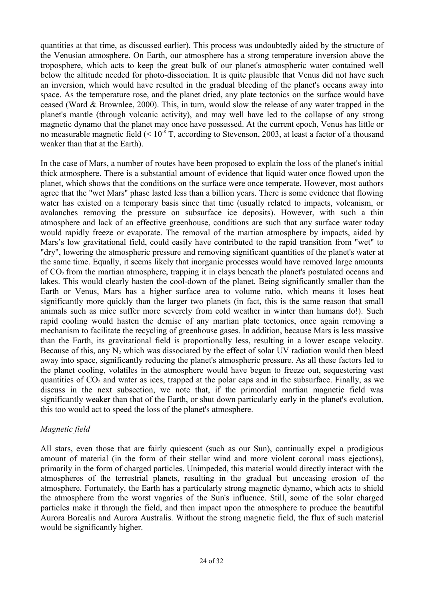quantities at that time, as discussed earlier). This process was undoubtedly aided by the structure of the Venusian atmosphere. On Earth, our atmosphere has a strong temperature inversion above the troposphere, which acts to keep the great bulk of our planet's atmospheric water contained well below the altitude needed for photo-dissociation. It is quite plausible that Venus did not have such an inversion, which would have resulted in the gradual bleeding of the planet's oceans away into space. As the temperature rose, and the planet dried, any plate tectonics on the surface would have ceased (Ward & Brownlee, 2000). This, in turn, would slow the release of any water trapped in the planet's mantle (through volcanic activity), and may well have led to the collapse of any strong magnetic dynamo that the planet may once have possessed. At the current epoch, Venus has little or no measurable magnetic field  $(< 10^{-8}$  T, according to Stevenson, 2003, at least a factor of a thousand weaker than that at the Earth).

In the case of Mars, a number of routes have been proposed to explain the loss of the planet's initial thick atmosphere. There is a substantial amount of evidence that liquid water once flowed upon the planet, which shows that the conditions on the surface were once temperate. However, most authors agree that the "wet Mars" phase lasted less than a billion years. There is some evidence that flowing water has existed on a temporary basis since that time (usually related to impacts, volcanism, or avalanches removing the pressure on subsurface ice deposits). However, with such a thin atmosphere and lack of an effective greenhouse, conditions are such that any surface water today would rapidly freeze or evaporate. The removal of the martian atmosphere by impacts, aided by Mars's low gravitational field, could easily have contributed to the rapid transition from "wet" to "dry", lowering the atmospheric pressure and removing significant quantities of the planet's water at the same time. Equally, it seems likely that inorganic processes would have removed large amounts of CO<sup>2</sup> from the martian atmosphere, trapping it in clays beneath the planet's postulated oceans and lakes. This would clearly hasten the cool-down of the planet. Being significantly smaller than the Earth or Venus, Mars has a higher surface area to volume ratio, which means it loses heat significantly more quickly than the larger two planets (in fact, this is the same reason that small animals such as mice suffer more severely from cold weather in winter than humans do!). Such rapid cooling would hasten the demise of any martian plate tectonics, once again removing a mechanism to facilitate the recycling of greenhouse gases. In addition, because Mars is less massive than the Earth, its gravitational field is proportionally less, resulting in a lower escape velocity. Because of this, any  $N_2$  which was dissociated by the effect of solar UV radiation would then bleed away into space, significantly reducing the planet's atmospheric pressure. As all these factors led to the planet cooling, volatiles in the atmosphere would have begun to freeze out, sequestering vast quantities of  $CO<sub>2</sub>$  and water as ices, trapped at the polar caps and in the subsurface. Finally, as we discuss in the next subsection, we note that, if the primordial martian magnetic field was significantly weaker than that of the Earth, or shut down particularly early in the planet's evolution, this too would act to speed the loss of the planet's atmosphere.

# *Magnetic field*

All stars, even those that are fairly quiescent (such as our Sun), continually expel a prodigious amount of material (in the form of their stellar wind and more violent coronal mass ejections), primarily in the form of charged particles. Unimpeded, this material would directly interact with the atmospheres of the terrestrial planets, resulting in the gradual but unceasing erosion of the atmosphere. Fortunately, the Earth has a particularly strong magnetic dynamo, which acts to shield the atmosphere from the worst vagaries of the Sun's influence. Still, some of the solar charged particles make it through the field, and then impact upon the atmosphere to produce the beautiful Aurora Borealis and Aurora Australis. Without the strong magnetic field, the flux of such material would be significantly higher.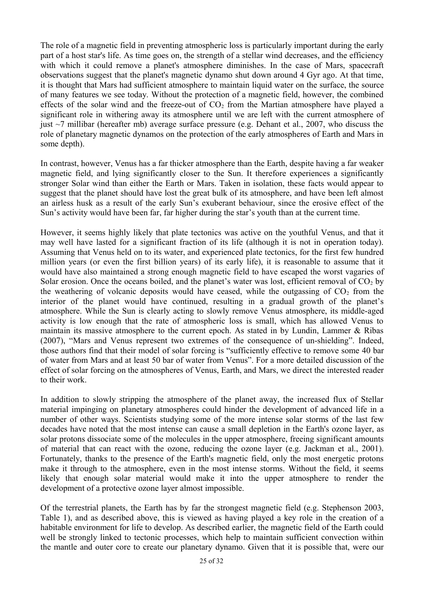The role of a magnetic field in preventing atmospheric loss is particularly important during the early part of a host star's life. As time goes on, the strength of a stellar wind decreases, and the efficiency with which it could remove a planet's atmosphere diminishes. In the case of Mars, spacecraft observations suggest that the planet's magnetic dynamo shut down around 4 Gyr ago. At that time, it is thought that Mars had sufficient atmosphere to maintain liquid water on the surface, the source of many features we see today. Without the protection of a magnetic field, however, the combined effects of the solar wind and the freeze-out of  $CO<sub>2</sub>$  from the Martian atmosphere have played a significant role in withering away its atmosphere until we are left with the current atmosphere of just  $\sim$ 7 millibar (hereafter mb) average surface pressure (e.g. Dehant et al., 2007, who discuss the role of planetary magnetic dynamos on the protection of the early atmospheres of Earth and Mars in some depth).

In contrast, however, Venus has a far thicker atmosphere than the Earth, despite having a far weaker magnetic field, and lying significantly closer to the Sun. It therefore experiences a significantly stronger Solar wind than either the Earth or Mars. Taken in isolation, these facts would appear to suggest that the planet should have lost the great bulk of its atmosphere, and have been left almost an airless husk as a result of the early Sun's exuberant behaviour, since the erosive effect of the Sun's activity would have been far, far higher during the star's youth than at the current time.

However, it seems highly likely that plate tectonics was active on the youthful Venus, and that it may well have lasted for a significant fraction of its life (although it is not in operation today). Assuming that Venus held on to its water, and experienced plate tectonics, for the first few hundred million years (or even the first billion years) of its early life), it is reasonable to assume that it would have also maintained a strong enough magnetic field to have escaped the worst vagaries of Solar erosion. Once the oceans boiled, and the planet's water was lost, efficient removal of  $CO<sub>2</sub>$  by the weathering of volcanic deposits would have ceased, while the outgassing of  $CO<sub>2</sub>$  from the interior of the planet would have continued, resulting in a gradual growth of the planet's atmosphere. While the Sun is clearly acting to slowly remove Venus atmosphere, its middle-aged activity is low enough that the rate of atmospheric loss is small, which has allowed Venus to maintain its massive atmosphere to the current epoch. As stated in by Lundin, Lammer & Ribas (2007), "Mars and Venus represent two extremes of the consequence of un-shielding". Indeed, those authors find that their model of solar forcing is "sufficiently effective to remove some 40 bar of water from Mars and at least 50 bar of water from Venus". For a more detailed discussion of the effect of solar forcing on the atmospheres of Venus, Earth, and Mars, we direct the interested reader to their work.

In addition to slowly stripping the atmosphere of the planet away, the increased flux of Stellar material impinging on planetary atmospheres could hinder the development of advanced life in a number of other ways. Scientists studying some of the more intense solar storms of the last few decades have noted that the most intense can cause a small depletion in the Earth's ozone layer, as solar protons dissociate some of the molecules in the upper atmosphere, freeing significant amounts of material that can react with the ozone, reducing the ozone layer (e.g. Jackman et al., 2001). Fortunately, thanks to the presence of the Earth's magnetic field, only the most energetic protons make it through to the atmosphere, even in the most intense storms. Without the field, it seems likely that enough solar material would make it into the upper atmosphere to render the development of a protective ozone layer almost impossible.

Of the terrestrial planets, the Earth has by far the strongest magnetic field (e.g. Stephenson 2003, Table 1), and as described above, this is viewed as having played a key role in the creation of a habitable environment for life to develop. As described earlier, the magnetic field of the Earth could well be strongly linked to tectonic processes, which help to maintain sufficient convection within the mantle and outer core to create our planetary dynamo. Given that it is possible that, were our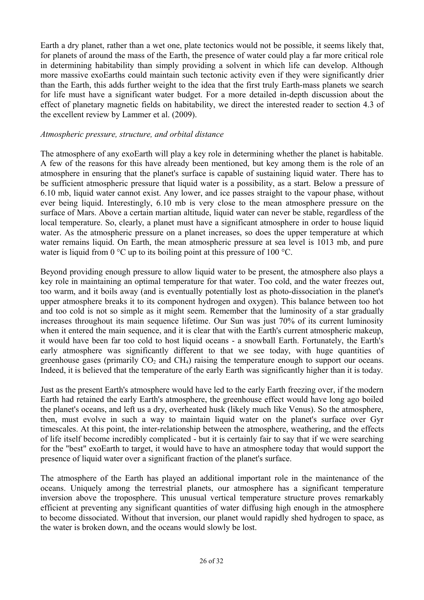Earth a dry planet, rather than a wet one, plate tectonics would not be possible, it seems likely that, for planets of around the mass of the Earth, the presence of water could play a far more critical role in determining habitability than simply providing a solvent in which life can develop. Although more massive exoEarths could maintain such tectonic activity even if they were significantly drier than the Earth, this adds further weight to the idea that the first truly Earth-mass planets we search for life must have a significant water budget. For a more detailed in-depth discussion about the effect of planetary magnetic fields on habitability, we direct the interested reader to section 4.3 of the excellent review by Lammer et al. (2009).

#### *Atmospheric pressure, structure, and orbital distance*

The atmosphere of any exoEarth will play a key role in determining whether the planet is habitable. A few of the reasons for this have already been mentioned, but key among them is the role of an atmosphere in ensuring that the planet's surface is capable of sustaining liquid water. There has to be sufficient atmospheric pressure that liquid water is a possibility, as a start. Below a pressure of 6.10 mb, liquid water cannot exist. Any lower, and ice passes straight to the vapour phase, without ever being liquid. Interestingly, 6.10 mb is very close to the mean atmosphere pressure on the surface of Mars. Above a certain martian altitude, liquid water can never be stable, regardless of the local temperature. So, clearly, a planet must have a significant atmosphere in order to house liquid water. As the atmospheric pressure on a planet increases, so does the upper temperature at which water remains liquid. On Earth, the mean atmospheric pressure at sea level is 1013 mb, and pure water is liquid from 0  $\degree$ C up to its boiling point at this pressure of 100  $\degree$ C.

Beyond providing enough pressure to allow liquid water to be present, the atmosphere also plays a key role in maintaining an optimal temperature for that water. Too cold, and the water freezes out, too warm, and it boils away (and is eventually potentially lost as photo-dissociation in the planet's upper atmosphere breaks it to its component hydrogen and oxygen). This balance between too hot and too cold is not so simple as it might seem. Remember that the luminosity of a star gradually increases throughout its main sequence lifetime. Our Sun was just 70% of its current luminosity when it entered the main sequence, and it is clear that with the Earth's current atmospheric makeup, it would have been far too cold to host liquid oceans - a snowball Earth. Fortunately, the Earth's early atmosphere was significantly different to that we see today, with huge quantities of greenhouse gases (primarily  $CO<sub>2</sub>$  and  $CH<sub>4</sub>$ ) raising the temperature enough to support our oceans. Indeed, it is believed that the temperature of the early Earth was significantly higher than it is today.

Just as the present Earth's atmosphere would have led to the early Earth freezing over, if the modern Earth had retained the early Earth's atmosphere, the greenhouse effect would have long ago boiled the planet's oceans, and left us a dry, overheated husk (likely much like Venus). So the atmosphere, then, must evolve in such a way to maintain liquid water on the planet's surface over Gyr timescales. At this point, the inter-relationship between the atmosphere, weathering, and the effects of life itself become incredibly complicated - but it is certainly fair to say that if we were searching for the "best" exoEarth to target, it would have to have an atmosphere today that would support the presence of liquid water over a significant fraction of the planet's surface.

The atmosphere of the Earth has played an additional important role in the maintenance of the oceans. Uniquely among the terrestrial planets, our atmosphere has a significant temperature inversion above the troposphere. This unusual vertical temperature structure proves remarkably efficient at preventing any significant quantities of water diffusing high enough in the atmosphere to become dissociated. Without that inversion, our planet would rapidly shed hydrogen to space, as the water is broken down, and the oceans would slowly be lost.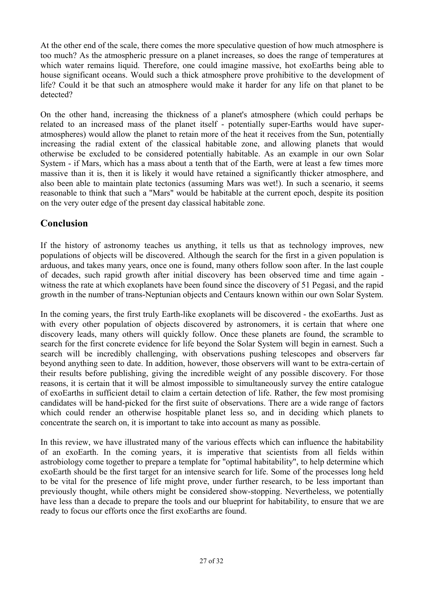At the other end of the scale, there comes the more speculative question of how much atmosphere is too much? As the atmospheric pressure on a planet increases, so does the range of temperatures at which water remains liquid. Therefore, one could imagine massive, hot exoEarths being able to house significant oceans. Would such a thick atmosphere prove prohibitive to the development of life? Could it be that such an atmosphere would make it harder for any life on that planet to be detected?

On the other hand, increasing the thickness of a planet's atmosphere (which could perhaps be related to an increased mass of the planet itself - potentially super-Earths would have superatmospheres) would allow the planet to retain more of the heat it receives from the Sun, potentially increasing the radial extent of the classical habitable zone, and allowing planets that would otherwise be excluded to be considered potentially habitable. As an example in our own Solar System - if Mars, which has a mass about a tenth that of the Earth, were at least a few times more massive than it is, then it is likely it would have retained a significantly thicker atmosphere, and also been able to maintain plate tectonics (assuming Mars was wet!). In such a scenario, it seems reasonable to think that such a "Mars" would be habitable at the current epoch, despite its position on the very outer edge of the present day classical habitable zone.

# **Conclusion**

If the history of astronomy teaches us anything, it tells us that as technology improves, new populations of objects will be discovered. Although the search for the first in a given population is arduous, and takes many years, once one is found, many others follow soon after. In the last couple of decades, such rapid growth after initial discovery has been observed time and time again witness the rate at which exoplanets have been found since the discovery of 51 Pegasi, and the rapid growth in the number of trans-Neptunian objects and Centaurs known within our own Solar System.

In the coming years, the first truly Earth-like exoplanets will be discovered - the exoEarths. Just as with every other population of objects discovered by astronomers, it is certain that where one discovery leads, many others will quickly follow. Once these planets are found, the scramble to search for the first concrete evidence for life beyond the Solar System will begin in earnest. Such a search will be incredibly challenging, with observations pushing telescopes and observers far beyond anything seen to date. In addition, however, those observers will want to be extra-certain of their results before publishing, giving the incredible weight of any possible discovery. For those reasons, it is certain that it will be almost impossible to simultaneously survey the entire catalogue of exoEarths in sufficient detail to claim a certain detection of life. Rather, the few most promising candidates will be hand-picked for the first suite of observations. There are a wide range of factors which could render an otherwise hospitable planet less so, and in deciding which planets to concentrate the search on, it is important to take into account as many as possible.

In this review, we have illustrated many of the various effects which can influence the habitability of an exoEarth. In the coming years, it is imperative that scientists from all fields within astrobiology come together to prepare a template for "optimal habitability", to help determine which exoEarth should be the first target for an intensive search for life. Some of the processes long held to be vital for the presence of life might prove, under further research, to be less important than previously thought, while others might be considered show-stopping. Nevertheless, we potentially have less than a decade to prepare the tools and our blueprint for habitability, to ensure that we are ready to focus our efforts once the first exoEarths are found.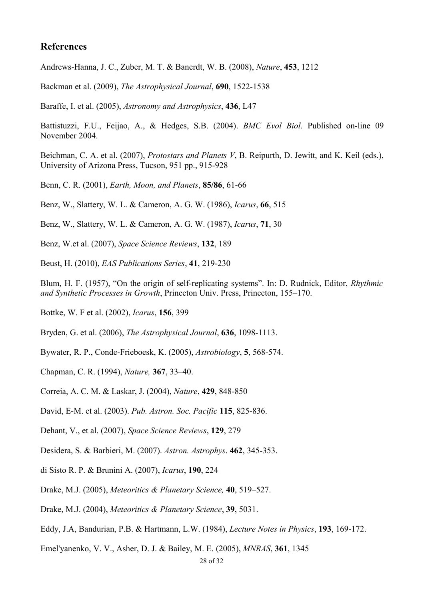# **References**

Andrews-Hanna, J. C., Zuber, M. T. & Banerdt, W. B. (2008), *Nature*, **453**, 1212

Backman et al. (2009), *The Astrophysical Journal*, **690**, 1522-1538

Baraffe, I. et al. (2005), *Astronomy and Astrophysics*, **436**, L47

Battistuzzi, F.U., Feijao, A., & Hedges, S.B. (2004). *BMC Evol Biol.* Published on-line 09 November 2004.

Beichman, C. A. et al. (2007), *Protostars and Planets V*, B. Reipurth, D. Jewitt, and K. Keil (eds.), University of Arizona Press, Tucson, 951 pp., 915-928

Benn, C. R. (2001), *Earth, Moon, and Planets*, **85/86**, 61-66

Benz, W., Slattery, W. L. & Cameron, A. G. W. (1986), *Icarus*, **66**, 515

Benz, W., Slattery, W. L. & Cameron, A. G. W. (1987), *Icarus*, **71**, 30

Benz, W.et al. (2007), *Space Science Reviews*, **132**, 189

Beust, H. (2010), *EAS Publications Series*, **41**, 219-230

Blum, H. F. (1957), "On the origin of self-replicating systems". In: D. Rudnick, Editor, *Rhythmic and Synthetic Processes in Growth*, Princeton Univ. Press, Princeton, 155–170.

Bottke, W. F et al. (2002), *Icarus*, **156**, 399

Bryden, G. et al. (2006), *The Astrophysical Journal*, **636**, 1098-1113.

- Bywater, R. P., Conde-Frieboesk, K. (2005), *Astrobiology*, **5**, 568-574.
- Chapman, C. R. (1994), *Nature,* **367**, 33–40.
- Correia, A. C. M. & Laskar, J. (2004), *Nature*, **429**, 848-850
- David, E-M. et al. (2003). *Pub. Astron. Soc. Pacific* **115**, 825-836.
- Dehant, V., et al. (2007), *Space Science Reviews*, **129**, 279
- Desidera, S. & Barbieri, M. (2007). *Astron. Astrophys*. **462**, 345-353.
- di Sisto R. P. & Brunini A. (2007), *Icarus*, **190**, 224
- Drake, M.J. (2005), *Meteoritics & Planetary Science,* **40**, 519–527.
- Drake, M.J. (2004), *Meteoritics & Planetary Science*, **39**, 5031.
- Eddy, J.A, Bandurian, P.B. & Hartmann, L.W. (1984), *Lecture Notes in Physics*, **193**, 169-172.
- Emel'yanenko, V. V., Asher, D. J. & Bailey, M. E. (2005), *MNRAS*, **361**, 1345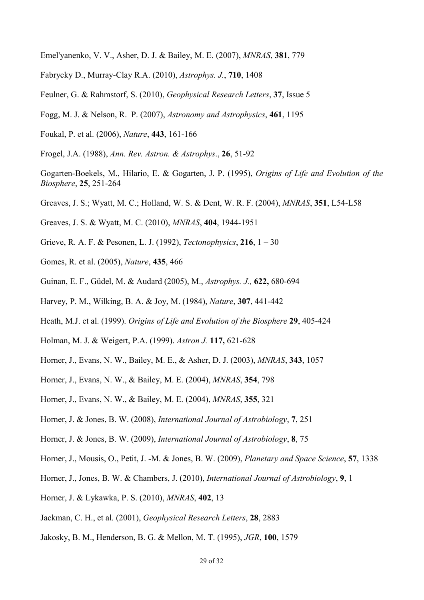- Emel'yanenko, V. V., Asher, D. J. & Bailey, M. E. (2007), *MNRAS*, **381**, 779
- Fabrycky D., Murray-Clay R.A. (2010), *Astrophys. J.*, **710**, 1408
- Feulner, G. & Rahmstorf, S. (2010), *Geophysical Research Letters*, **37**, Issue 5
- Fogg, M. J. & Nelson, R. P. (2007), *Astronomy and Astrophysics*, **461**, 1195
- Foukal, P. et al. (2006), *Nature*, **443**, 161-166
- Frogel, J.A. (1988), *Ann. Rev. Astron. & Astrophys*., **26**, 51-92
- Gogarten-Boekels, M., Hilario, E. & Gogarten, J. P. (1995), *Origins of Life and Evolution of the Biosphere*, **25**, 251-264
- Greaves, J. S.; Wyatt, M. C.; Holland, W. S. & Dent, W. R. F. (2004), *MNRAS*, **351**, L54-L58
- Greaves, J. S. & Wyatt, M. C. (2010), *MNRAS*, **404**, 1944-1951
- Grieve, R. A. F. & Pesonen, L. J. (1992), *Tectonophysics*, **216**, 1 30
- Gomes, R. et al. (2005), *Nature*, **435**, 466
- Guinan, E. F., Güdel, M. & Audard (2005), M., *Astrophys. J.,* **622,** 680-694
- Harvey, P. M., Wilking, B. A. & Joy, M. (1984), *Nature*, **307**, 441-442
- Heath, M.J. et al. (1999). *Origins of Life and Evolution of the Biosphere* **29**, 405-424
- Holman, M. J. & Weigert, P.A. (1999). *Astron J.* **117,** 621-628
- Horner, J., Evans, N. W., Bailey, M. E., & Asher, D. J. (2003), *MNRAS*, **343**, 1057
- Horner, J., Evans, N. W., & Bailey, M. E. (2004), *MNRAS*, **354**, 798
- Horner, J., Evans, N. W., & Bailey, M. E. (2004), *MNRAS*, **355**, 321
- Horner, J. & Jones, B. W. (2008), *International Journal of Astrobiology*, **7**, 251
- Horner, J. & Jones, B. W. (2009), *International Journal of Astrobiology*, **8**, 75
- Horner, J., Mousis, O., Petit, J. -M. & Jones, B. W. (2009), *Planetary and Space Science*, **57**, 1338
- Horner, J., Jones, B. W. & Chambers, J. (2010), *International Journal of Astrobiology*, **9**, 1
- Horner, J. & Lykawka, P. S. (2010), *MNRAS*, **402**, 13
- Jackman, C. H., et al. (2001), *Geophysical Research Letters*, **28**, 2883
- Jakosky, B. M., Henderson, B. G. & Mellon, M. T. (1995), *JGR*, **100**, 1579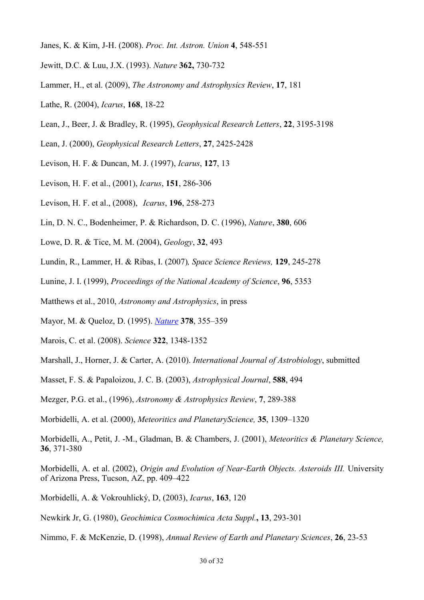- Janes, K. & Kim, J-H. (2008). *Proc. Int. Astron. Union* **4**, 548-551
- Jewitt, D.C. & Luu, J.X. (1993). *Nature* **362,** 730-732
- Lammer, H., et al. (2009), *The Astronomy and Astrophysics Review*, **17**, 181
- Lathe, R. (2004), *Icarus*, **168**, 18-22
- Lean, J., Beer, J. & Bradley, R. (1995), *Geophysical Research Letters*, **22**, 3195-3198
- Lean, J. (2000), *Geophysical Research Letters*, **27**, 2425-2428
- Levison, H. F. & Duncan, M. J. (1997), *Icarus*, **127**, 13
- Levison, H. F. et al., (2001), *Icarus*, **151**, 286-306
- Levison, H. F. et al., (2008), *Icarus*, **196**, 258-273
- Lin, D. N. C., Bodenheimer, P. & Richardson, D. C. (1996), *Nature*, **380**, 606
- Lowe, D. R. & Tice, M. M. (2004), *Geology*, **32**, 493
- Lundin, R., Lammer, H. & Ribas, I. (2007)*, Space Science Reviews,* **129**, 245-278
- Lunine, J. I. (1999), *Proceedings of the National Academy of Science*, **96**, 5353
- Matthews et al., 2010, *Astronomy and Astrophysics*, in press
- Mayor, M. & Queloz, D. (1995). *[Nature](http://en.wikipedia.org/wiki/Nature_(journal))* **378**, 355–359
- Marois, C. et al. (2008). *Science* **322**, 1348-1352
- Marshall, J., Horner, J. & Carter, A. (2010). *International Journal of Astrobiology*, submitted
- Masset, F. S. & Papaloizou, J. C. B. (2003), *Astrophysical Journal*, **588**, 494
- Mezger, P.G. et al., (1996), *Astronomy & Astrophysics Review*, **7**, 289-388
- Morbidelli, A. et al. (2000), *Meteoritics and PlanetaryScience,* **35**, 1309–1320
- Morbidelli, A., Petit, J. -M., Gladman, B. & Chambers, J. (2001), *Meteoritics & Planetary Science,* **36**, 371-380
- Morbidelli, A. et al. (2002), *Origin and Evolution of Near-Earth Objects. Asteroids III.* University of Arizona Press, Tucson, AZ, pp. 409–422
- Morbidelli, A. & Vokrouhlický, D, (2003), *Icarus*, **163**, 120
- Newkirk Jr, G. (1980), *Geochimica Cosmochimica Acta Suppl.***, 13**, 293-301
- Nimmo, F. & McKenzie, D. (1998), *Annual Review of Earth and Planetary Sciences*, **26**, 23-53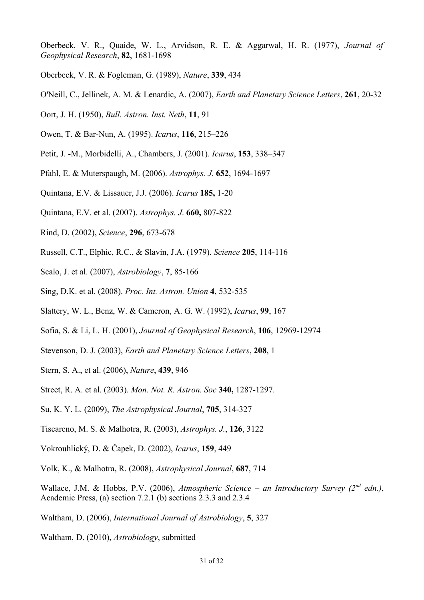- Oberbeck, V. R., Quaide, W. L., Arvidson, R. E. & Aggarwal, H. R. (1977), *Journal of Geophysical Research*, **82**, 1681-1698
- Oberbeck, V. R. & Fogleman, G. (1989), *Nature*, **339**, 434
- O'Neill, C., Jellinek, A. M. & Lenardic, A. (2007), *Earth and Planetary Science Letters*, **261**, 20-32
- Oort, J. H. (1950), *Bull. Astron. Inst. Neth*, **11**, 91
- Owen, T. & Bar-Nun, A. (1995). *Icarus*, **116**, 215–226
- Petit, J. -M., Morbidelli, A., Chambers, J. (2001). *Icarus*, **153**, 338–347
- Pfahl, E. & Muterspaugh, M. (2006). *Astrophys. J*. **652**, 1694-1697
- Quintana, E.V. & Lissauer, J.J. (2006). *Icarus* **185,** 1-20
- Quintana, E.V. et al. (2007). *Astrophys. J*. **660,** 807-822
- Rind, D. (2002), *Science*, **296**, 673-678
- Russell, C.T., Elphic, R.C., & Slavin, J.A. (1979). *Science* **205**, 114-116
- Scalo, J. et al. (2007), *Astrobiology*, **7**, 85-166
- Sing, D.K. et al. (2008). *Proc. Int. Astron. Union* **4**, 532-535
- Slattery, W. L., Benz, W. & Cameron, A. G. W. (1992), *Icarus*, **99**, 167
- Sofia, S. & Li, L. H. (2001), *Journal of Geophysical Research*, **106**, 12969-12974
- Stevenson, D. J. (2003), *Earth and Planetary Science Letters*, **208**, 1
- Stern, S. A., et al. (2006), *Nature*, **439**, 946
- Street, R. A. et al. (2003). *Mon. Not. R. Astron. Soc* **340,** 1287-1297.
- Su, K. Y. L. (2009), *The Astrophysical Journal*, **705**, 314-327
- Tiscareno, M. S. & Malhotra, R. (2003), *Astrophys. J.*, **126**, 3122
- Vokrouhlický, D. & Čapek, D. (2002), *Icarus*, **159**, 449
- Volk, K., & Malhotra, R. (2008), *Astrophysical Journal*, **687**, 714
- Wallace, J.M. & Hobbs, P.V. (2006), *Atmospheric Science an Introductory Survey (2nd edn.)*, Academic Press, (a) section 7.2.1 (b) sections 2.3.3 and 2.3.4

Waltham, D. (2006), *International Journal of Astrobiology*, **5**, 327

Waltham, D. (2010), *Astrobiology*, submitted